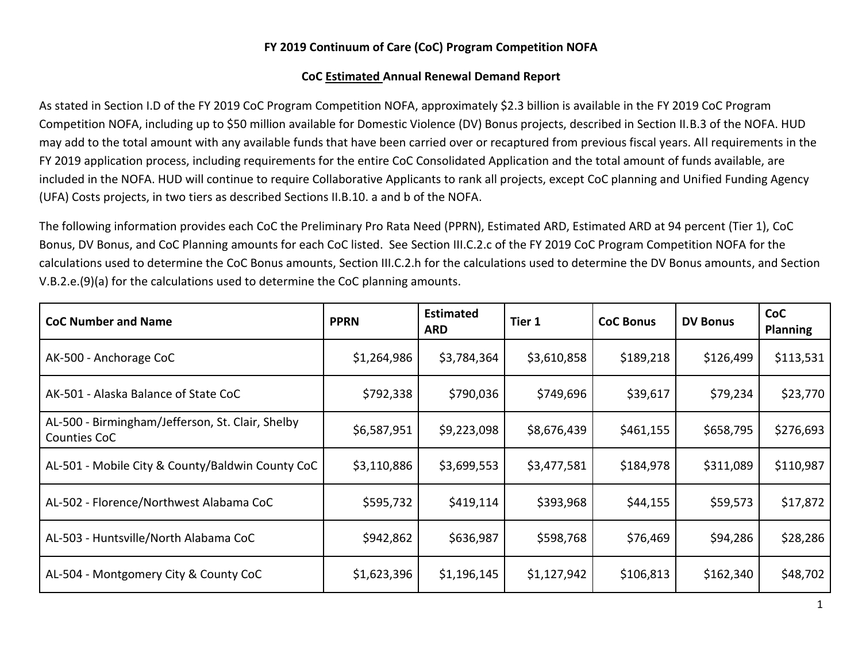## **FY 2019 Continuum of Care (CoC) Program Competition NOFA**

## **CoC Estimated Annual Renewal Demand Report**

As stated in Section I.D of the FY 2019 CoC Program Competition NOFA, approximately \$2.3 billion is available in the FY 2019 CoC Program Competition NOFA, including up to \$50 million available for Domestic Violence (DV) Bonus projects, described in Section II.B.3 of the NOFA. HUD may add to the total amount with any available funds that have been carried over or recaptured from previous fiscal years. All requirements in the FY 2019 application process, including requirements for the entire CoC Consolidated Application and the total amount of funds available, are included in the NOFA. HUD will continue to require Collaborative Applicants to rank all projects, except CoC planning and Unified Funding Agency (UFA) Costs projects, in two tiers as described Sections II.B.10. a and b of the NOFA.

The following information provides each CoC the Preliminary Pro Rata Need (PPRN), Estimated ARD, Estimated ARD at 94 percent (Tier 1), CoC Bonus, DV Bonus, and CoC Planning amounts for each CoC listed. See Section III.C.2.c of the FY 2019 CoC Program Competition NOFA for the calculations used to determine the CoC Bonus amounts, Section III.C.2.h for the calculations used to determine the DV Bonus amounts, and Section V.B.2.e.(9)(a) for the calculations used to determine the CoC planning amounts.

| <b>CoC Number and Name</b>                                       | <b>PPRN</b> | <b>Estimated</b><br><b>ARD</b> | Tier 1      | <b>CoC Bonus</b> | <b>DV Bonus</b> | CoC<br><b>Planning</b> |
|------------------------------------------------------------------|-------------|--------------------------------|-------------|------------------|-----------------|------------------------|
| AK-500 - Anchorage CoC                                           | \$1,264,986 | \$3,784,364                    | \$3,610,858 | \$189,218        | \$126,499       | \$113,531              |
| AK-501 - Alaska Balance of State CoC                             | \$792,338   | \$790,036                      | \$749,696   | \$39,617         | \$79,234        | \$23,770               |
| AL-500 - Birmingham/Jefferson, St. Clair, Shelby<br>Counties CoC | \$6,587,951 | \$9,223,098                    | \$8,676,439 | \$461,155        | \$658,795       | \$276,693              |
| AL-501 - Mobile City & County/Baldwin County CoC                 | \$3,110,886 | \$3,699,553                    | \$3,477,581 | \$184,978        | \$311,089       | \$110,987              |
| AL-502 - Florence/Northwest Alabama CoC                          | \$595,732   | \$419,114                      | \$393,968   | \$44,155         | \$59,573        | \$17,872               |
| AL-503 - Huntsville/North Alabama CoC                            | \$942,862   | \$636,987                      | \$598,768   | \$76,469         | \$94,286        | \$28,286               |
| AL-504 - Montgomery City & County CoC                            | \$1,623,396 | \$1,196,145                    | \$1,127,942 | \$106,813        | \$162,340       | \$48,702               |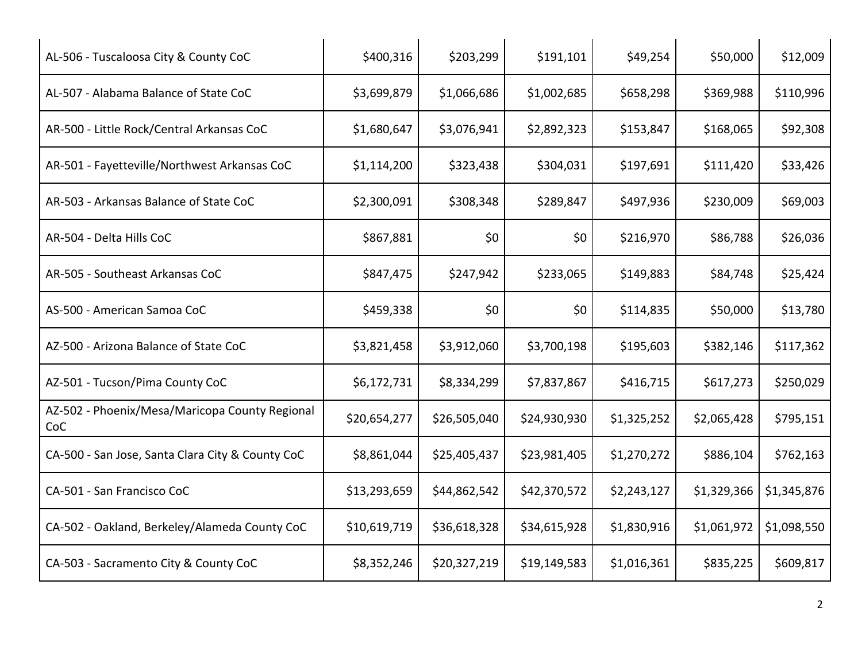| AL-506 - Tuscaloosa City & County CoC                 | \$400,316    | \$203,299    | \$191,101    | \$49,254    | \$50,000    | \$12,009    |
|-------------------------------------------------------|--------------|--------------|--------------|-------------|-------------|-------------|
| AL-507 - Alabama Balance of State CoC                 | \$3,699,879  | \$1,066,686  | \$1,002,685  | \$658,298   | \$369,988   | \$110,996   |
| AR-500 - Little Rock/Central Arkansas CoC             | \$1,680,647  | \$3,076,941  | \$2,892,323  | \$153,847   | \$168,065   | \$92,308    |
| AR-501 - Fayetteville/Northwest Arkansas CoC          | \$1,114,200  | \$323,438    | \$304,031    | \$197,691   | \$111,420   | \$33,426    |
| AR-503 - Arkansas Balance of State CoC                | \$2,300,091  | \$308,348    | \$289,847    | \$497,936   | \$230,009   | \$69,003    |
| AR-504 - Delta Hills CoC                              | \$867,881    | \$0          | \$0          | \$216,970   | \$86,788    | \$26,036    |
| AR-505 - Southeast Arkansas CoC                       | \$847,475    | \$247,942    | \$233,065    | \$149,883   | \$84,748    | \$25,424    |
| AS-500 - American Samoa CoC                           | \$459,338    | \$0          | \$0          | \$114,835   | \$50,000    | \$13,780    |
| AZ-500 - Arizona Balance of State CoC                 | \$3,821,458  | \$3,912,060  | \$3,700,198  | \$195,603   | \$382,146   | \$117,362   |
| AZ-501 - Tucson/Pima County CoC                       | \$6,172,731  | \$8,334,299  | \$7,837,867  | \$416,715   | \$617,273   | \$250,029   |
| AZ-502 - Phoenix/Mesa/Maricopa County Regional<br>CoC | \$20,654,277 | \$26,505,040 | \$24,930,930 | \$1,325,252 | \$2,065,428 | \$795,151   |
| CA-500 - San Jose, Santa Clara City & County CoC      | \$8,861,044  | \$25,405,437 | \$23,981,405 | \$1,270,272 | \$886,104   | \$762,163   |
| CA-501 - San Francisco CoC                            | \$13,293,659 | \$44,862,542 | \$42,370,572 | \$2,243,127 | \$1,329,366 | \$1,345,876 |
| CA-502 - Oakland, Berkeley/Alameda County CoC         | \$10,619,719 | \$36,618,328 | \$34,615,928 | \$1,830,916 | \$1,061,972 | \$1,098,550 |
| CA-503 - Sacramento City & County CoC                 | \$8,352,246  | \$20,327,219 | \$19,149,583 | \$1,016,361 | \$835,225   | \$609,817   |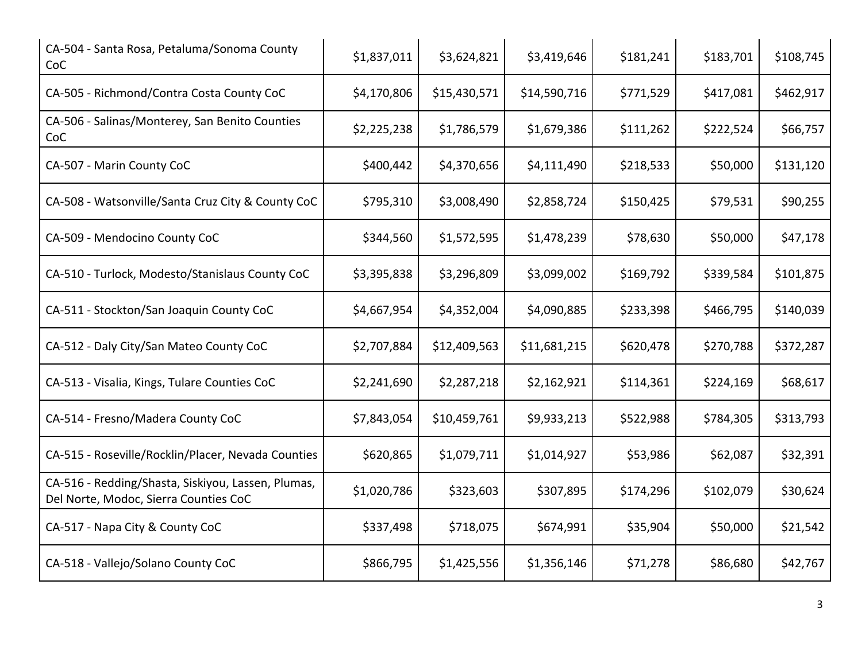| CA-504 - Santa Rosa, Petaluma/Sonoma County<br>CoC                                          | \$1,837,011 | \$3,624,821  | \$3,419,646  | \$181,241 | \$183,701 | \$108,745 |
|---------------------------------------------------------------------------------------------|-------------|--------------|--------------|-----------|-----------|-----------|
| CA-505 - Richmond/Contra Costa County CoC                                                   | \$4,170,806 | \$15,430,571 | \$14,590,716 | \$771,529 | \$417,081 | \$462,917 |
| CA-506 - Salinas/Monterey, San Benito Counties<br>CoC                                       | \$2,225,238 | \$1,786,579  | \$1,679,386  | \$111,262 | \$222,524 | \$66,757  |
| CA-507 - Marin County CoC                                                                   | \$400,442   | \$4,370,656  | \$4,111,490  | \$218,533 | \$50,000  | \$131,120 |
| CA-508 - Watsonville/Santa Cruz City & County CoC                                           | \$795,310   | \$3,008,490  | \$2,858,724  | \$150,425 | \$79,531  | \$90,255  |
| CA-509 - Mendocino County CoC                                                               | \$344,560   | \$1,572,595  | \$1,478,239  | \$78,630  | \$50,000  | \$47,178  |
| CA-510 - Turlock, Modesto/Stanislaus County CoC                                             | \$3,395,838 | \$3,296,809  | \$3,099,002  | \$169,792 | \$339,584 | \$101,875 |
| CA-511 - Stockton/San Joaquin County CoC                                                    | \$4,667,954 | \$4,352,004  | \$4,090,885  | \$233,398 | \$466,795 | \$140,039 |
| CA-512 - Daly City/San Mateo County CoC                                                     | \$2,707,884 | \$12,409,563 | \$11,681,215 | \$620,478 | \$270,788 | \$372,287 |
| CA-513 - Visalia, Kings, Tulare Counties CoC                                                | \$2,241,690 | \$2,287,218  | \$2,162,921  | \$114,361 | \$224,169 | \$68,617  |
| CA-514 - Fresno/Madera County CoC                                                           | \$7,843,054 | \$10,459,761 | \$9,933,213  | \$522,988 | \$784,305 | \$313,793 |
| CA-515 - Roseville/Rocklin/Placer, Nevada Counties                                          | \$620,865   | \$1,079,711  | \$1,014,927  | \$53,986  | \$62,087  | \$32,391  |
| CA-516 - Redding/Shasta, Siskiyou, Lassen, Plumas,<br>Del Norte, Modoc, Sierra Counties CoC | \$1,020,786 | \$323,603    | \$307,895    | \$174,296 | \$102,079 | \$30,624  |
| CA-517 - Napa City & County CoC                                                             | \$337,498   | \$718,075    | \$674,991    | \$35,904  | \$50,000  | \$21,542  |
| CA-518 - Vallejo/Solano County CoC                                                          | \$866,795   | \$1,425,556  | \$1,356,146  | \$71,278  | \$86,680  | \$42,767  |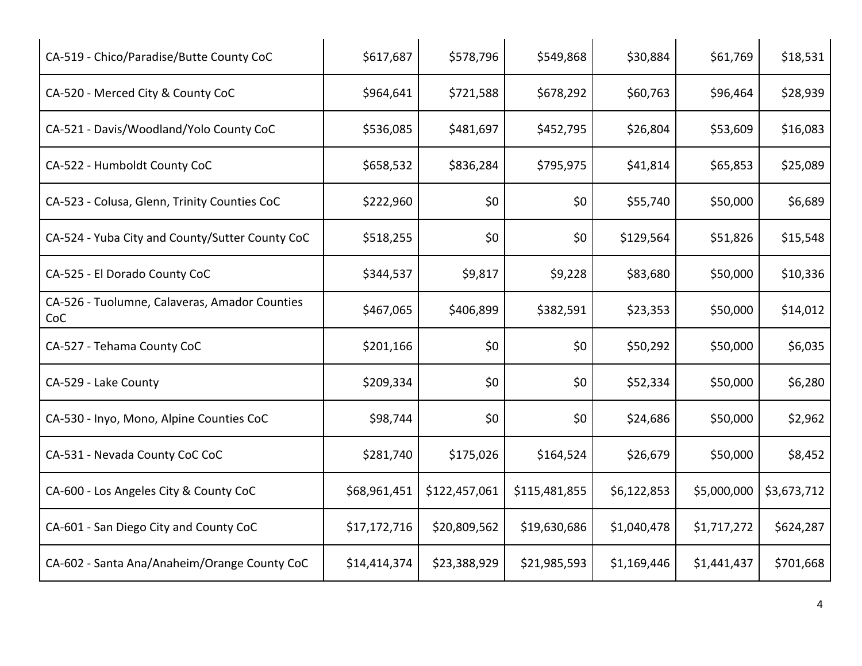| CA-519 - Chico/Paradise/Butte County CoC             | \$617,687    | \$578,796     | \$549,868     | \$30,884    | \$61,769    | \$18,531    |
|------------------------------------------------------|--------------|---------------|---------------|-------------|-------------|-------------|
| CA-520 - Merced City & County CoC                    | \$964,641    | \$721,588     | \$678,292     | \$60,763    | \$96,464    | \$28,939    |
| CA-521 - Davis/Woodland/Yolo County CoC              | \$536,085    | \$481,697     | \$452,795     | \$26,804    | \$53,609    | \$16,083    |
| CA-522 - Humboldt County CoC                         | \$658,532    | \$836,284     | \$795,975     | \$41,814    | \$65,853    | \$25,089    |
| CA-523 - Colusa, Glenn, Trinity Counties CoC         | \$222,960    | \$0           | \$0           | \$55,740    | \$50,000    | \$6,689     |
| CA-524 - Yuba City and County/Sutter County CoC      | \$518,255    | \$0           | \$0           | \$129,564   | \$51,826    | \$15,548    |
| CA-525 - El Dorado County CoC                        | \$344,537    | \$9,817       | \$9,228       | \$83,680    | \$50,000    | \$10,336    |
| CA-526 - Tuolumne, Calaveras, Amador Counties<br>CoC | \$467,065    | \$406,899     | \$382,591     | \$23,353    | \$50,000    | \$14,012    |
| CA-527 - Tehama County CoC                           | \$201,166    | \$0           | \$0           | \$50,292    | \$50,000    | \$6,035     |
| CA-529 - Lake County                                 | \$209,334    | \$0           | \$0           | \$52,334    | \$50,000    | \$6,280     |
| CA-530 - Inyo, Mono, Alpine Counties CoC             | \$98,744     | \$0           | \$0           | \$24,686    | \$50,000    | \$2,962     |
| CA-531 - Nevada County CoC CoC                       | \$281,740    | \$175,026     | \$164,524     | \$26,679    | \$50,000    | \$8,452     |
| CA-600 - Los Angeles City & County CoC               | \$68,961,451 | \$122,457,061 | \$115,481,855 | \$6,122,853 | \$5,000,000 | \$3,673,712 |
| CA-601 - San Diego City and County CoC               | \$17,172,716 | \$20,809,562  | \$19,630,686  | \$1,040,478 | \$1,717,272 | \$624,287   |
| CA-602 - Santa Ana/Anaheim/Orange County CoC         | \$14,414,374 | \$23,388,929  | \$21,985,593  | \$1,169,446 | \$1,441,437 | \$701,668   |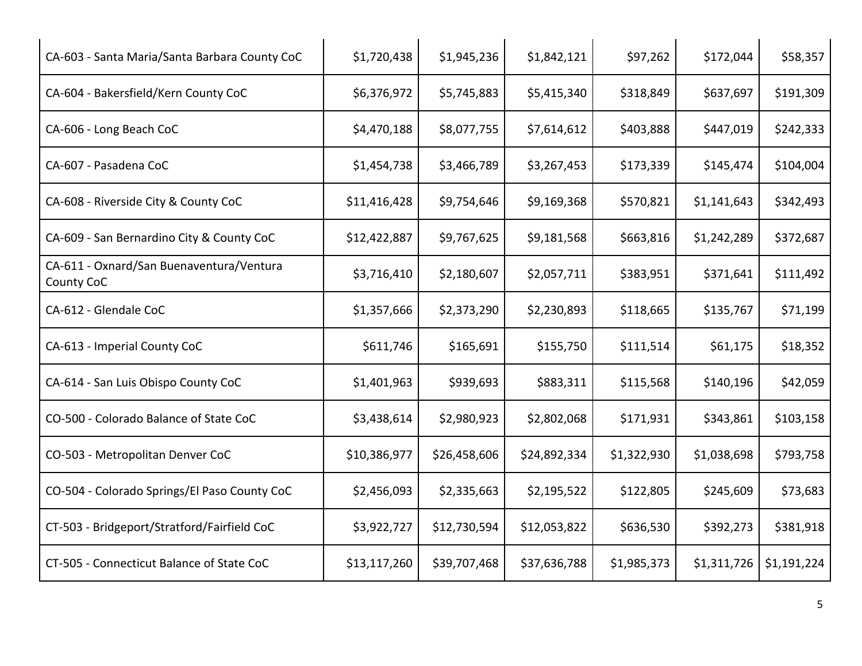| CA-603 - Santa Maria/Santa Barbara County CoC          | \$1,720,438  | \$1,945,236  | \$1,842,121  | \$97,262    | \$172,044   | \$58,357    |
|--------------------------------------------------------|--------------|--------------|--------------|-------------|-------------|-------------|
| CA-604 - Bakersfield/Kern County CoC                   | \$6,376,972  | \$5,745,883  | \$5,415,340  | \$318,849   | \$637,697   | \$191,309   |
| CA-606 - Long Beach CoC                                | \$4,470,188  | \$8,077,755  | \$7,614,612  | \$403,888   | \$447,019   | \$242,333   |
| CA-607 - Pasadena CoC                                  | \$1,454,738  | \$3,466,789  | \$3,267,453  | \$173,339   | \$145,474   | \$104,004   |
| CA-608 - Riverside City & County CoC                   | \$11,416,428 | \$9,754,646  | \$9,169,368  | \$570,821   | \$1,141,643 | \$342,493   |
| CA-609 - San Bernardino City & County CoC              | \$12,422,887 | \$9,767,625  | \$9,181,568  | \$663,816   | \$1,242,289 | \$372,687   |
| CA-611 - Oxnard/San Buenaventura/Ventura<br>County CoC | \$3,716,410  | \$2,180,607  | \$2,057,711  | \$383,951   | \$371,641   | \$111,492   |
| CA-612 - Glendale CoC                                  | \$1,357,666  | \$2,373,290  | \$2,230,893  | \$118,665   | \$135,767   | \$71,199    |
| CA-613 - Imperial County CoC                           | \$611,746    | \$165,691    | \$155,750    | \$111,514   | \$61,175    | \$18,352    |
| CA-614 - San Luis Obispo County CoC                    | \$1,401,963  | \$939,693    | \$883,311    | \$115,568   | \$140,196   | \$42,059    |
| CO-500 - Colorado Balance of State CoC                 | \$3,438,614  | \$2,980,923  | \$2,802,068  | \$171,931   | \$343,861   | \$103,158   |
| CO-503 - Metropolitan Denver CoC                       | \$10,386,977 | \$26,458,606 | \$24,892,334 | \$1,322,930 | \$1,038,698 | \$793,758   |
| CO-504 - Colorado Springs/El Paso County CoC           | \$2,456,093  | \$2,335,663  | \$2,195,522  | \$122,805   | \$245,609   | \$73,683    |
| CT-503 - Bridgeport/Stratford/Fairfield CoC            | \$3,922,727  | \$12,730,594 | \$12,053,822 | \$636,530   | \$392,273   | \$381,918   |
| CT-505 - Connecticut Balance of State CoC              | \$13,117,260 | \$39,707,468 | \$37,636,788 | \$1,985,373 | \$1,311,726 | \$1,191,224 |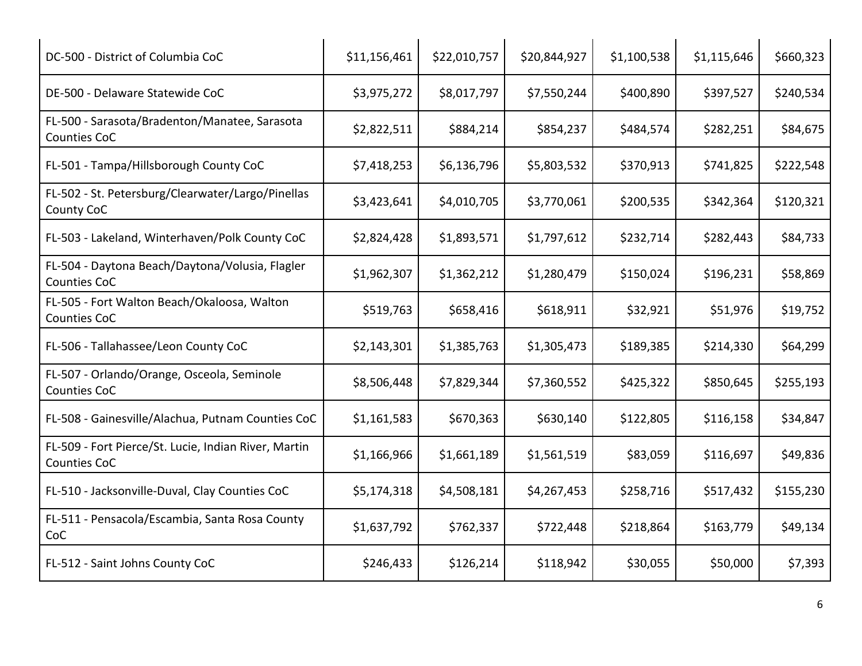| DC-500 - District of Columbia CoC                                           | \$11,156,461 | \$22,010,757 | \$20,844,927 | \$1,100,538 | \$1,115,646 | \$660,323 |
|-----------------------------------------------------------------------------|--------------|--------------|--------------|-------------|-------------|-----------|
| DE-500 - Delaware Statewide CoC                                             | \$3,975,272  | \$8,017,797  | \$7,550,244  | \$400,890   | \$397,527   | \$240,534 |
| FL-500 - Sarasota/Bradenton/Manatee, Sarasota<br>Counties CoC               | \$2,822,511  | \$884,214    | \$854,237    | \$484,574   | \$282,251   | \$84,675  |
| FL-501 - Tampa/Hillsborough County CoC                                      | \$7,418,253  | \$6,136,796  | \$5,803,532  | \$370,913   | \$741,825   | \$222,548 |
| FL-502 - St. Petersburg/Clearwater/Largo/Pinellas<br>County CoC             | \$3,423,641  | \$4,010,705  | \$3,770,061  | \$200,535   | \$342,364   | \$120,321 |
| FL-503 - Lakeland, Winterhaven/Polk County CoC                              | \$2,824,428  | \$1,893,571  | \$1,797,612  | \$232,714   | \$282,443   | \$84,733  |
| FL-504 - Daytona Beach/Daytona/Volusia, Flagler<br>Counties CoC             | \$1,962,307  | \$1,362,212  | \$1,280,479  | \$150,024   | \$196,231   | \$58,869  |
| FL-505 - Fort Walton Beach/Okaloosa, Walton<br><b>Counties CoC</b>          | \$519,763    | \$658,416    | \$618,911    | \$32,921    | \$51,976    | \$19,752  |
| FL-506 - Tallahassee/Leon County CoC                                        | \$2,143,301  | \$1,385,763  | \$1,305,473  | \$189,385   | \$214,330   | \$64,299  |
| FL-507 - Orlando/Orange, Osceola, Seminole<br><b>Counties CoC</b>           | \$8,506,448  | \$7,829,344  | \$7,360,552  | \$425,322   | \$850,645   | \$255,193 |
| FL-508 - Gainesville/Alachua, Putnam Counties CoC                           | \$1,161,583  | \$670,363    | \$630,140    | \$122,805   | \$116,158   | \$34,847  |
| FL-509 - Fort Pierce/St. Lucie, Indian River, Martin<br><b>Counties CoC</b> | \$1,166,966  | \$1,661,189  | \$1,561,519  | \$83,059    | \$116,697   | \$49,836  |
| FL-510 - Jacksonville-Duval, Clay Counties CoC                              | \$5,174,318  | \$4,508,181  | \$4,267,453  | \$258,716   | \$517,432   | \$155,230 |
| FL-511 - Pensacola/Escambia, Santa Rosa County<br>CoC                       | \$1,637,792  | \$762,337    | \$722,448    | \$218,864   | \$163,779   | \$49,134  |
| FL-512 - Saint Johns County CoC                                             | \$246,433    | \$126,214    | \$118,942    | \$30,055    | \$50,000    | \$7,393   |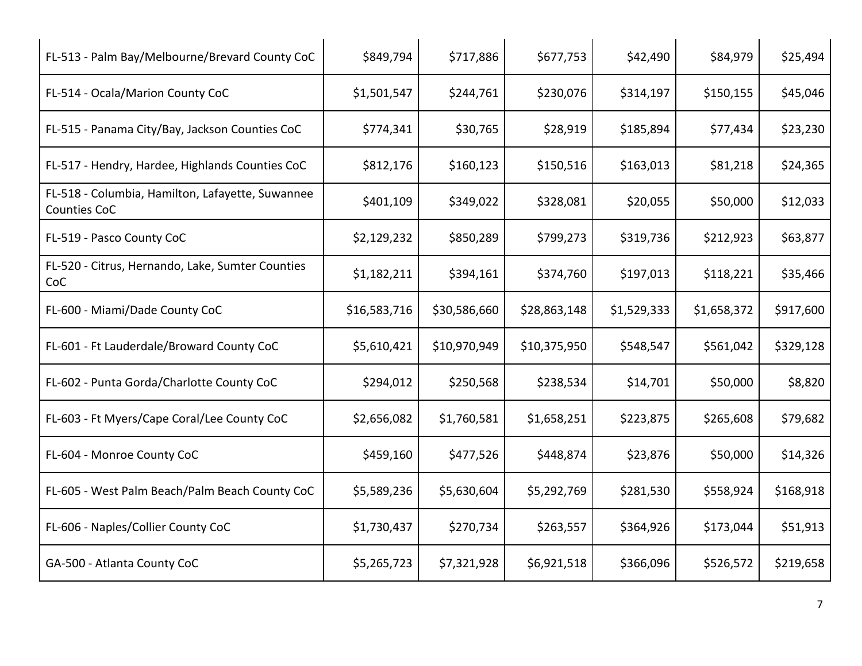| FL-513 - Palm Bay/Melbourne/Brevard County CoC                   | \$849,794    | \$717,886    | \$677,753    | \$42,490    | \$84,979    | \$25,494  |
|------------------------------------------------------------------|--------------|--------------|--------------|-------------|-------------|-----------|
| FL-514 - Ocala/Marion County CoC                                 | \$1,501,547  | \$244,761    | \$230,076    | \$314,197   | \$150,155   | \$45,046  |
| FL-515 - Panama City/Bay, Jackson Counties CoC                   | \$774,341    | \$30,765     | \$28,919     | \$185,894   | \$77,434    | \$23,230  |
| FL-517 - Hendry, Hardee, Highlands Counties CoC                  | \$812,176    | \$160,123    | \$150,516    | \$163,013   | \$81,218    | \$24,365  |
| FL-518 - Columbia, Hamilton, Lafayette, Suwannee<br>Counties CoC | \$401,109    | \$349,022    | \$328,081    | \$20,055    | \$50,000    | \$12,033  |
| FL-519 - Pasco County CoC                                        | \$2,129,232  | \$850,289    | \$799,273    | \$319,736   | \$212,923   | \$63,877  |
| FL-520 - Citrus, Hernando, Lake, Sumter Counties<br>CoC          | \$1,182,211  | \$394,161    | \$374,760    | \$197,013   | \$118,221   | \$35,466  |
| FL-600 - Miami/Dade County CoC                                   | \$16,583,716 | \$30,586,660 | \$28,863,148 | \$1,529,333 | \$1,658,372 | \$917,600 |
| FL-601 - Ft Lauderdale/Broward County CoC                        | \$5,610,421  | \$10,970,949 | \$10,375,950 | \$548,547   | \$561,042   | \$329,128 |
| FL-602 - Punta Gorda/Charlotte County CoC                        | \$294,012    | \$250,568    | \$238,534    | \$14,701    | \$50,000    | \$8,820   |
| FL-603 - Ft Myers/Cape Coral/Lee County CoC                      | \$2,656,082  | \$1,760,581  | \$1,658,251  | \$223,875   | \$265,608   | \$79,682  |
| FL-604 - Monroe County CoC                                       | \$459,160    | \$477,526    | \$448,874    | \$23,876    | \$50,000    | \$14,326  |
| FL-605 - West Palm Beach/Palm Beach County CoC                   | \$5,589,236  | \$5,630,604  | \$5,292,769  | \$281,530   | \$558,924   | \$168,918 |
| FL-606 - Naples/Collier County CoC                               | \$1,730,437  | \$270,734    | \$263,557    | \$364,926   | \$173,044   | \$51,913  |
| GA-500 - Atlanta County CoC                                      | \$5,265,723  | \$7,321,928  | \$6,921,518  | \$366,096   | \$526,572   | \$219,658 |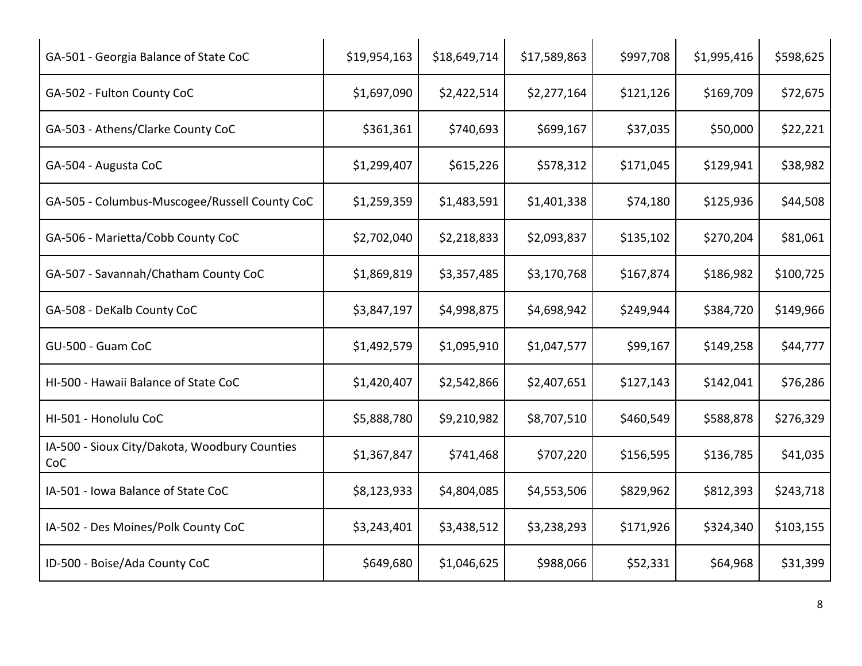| GA-501 - Georgia Balance of State CoC                | \$19,954,163 | \$18,649,714 | \$17,589,863 | \$997,708 | \$1,995,416 | \$598,625 |
|------------------------------------------------------|--------------|--------------|--------------|-----------|-------------|-----------|
| GA-502 - Fulton County CoC                           | \$1,697,090  | \$2,422,514  | \$2,277,164  | \$121,126 | \$169,709   | \$72,675  |
| GA-503 - Athens/Clarke County CoC                    | \$361,361    | \$740,693    | \$699,167    | \$37,035  | \$50,000    | \$22,221  |
| GA-504 - Augusta CoC                                 | \$1,299,407  | \$615,226    | \$578,312    | \$171,045 | \$129,941   | \$38,982  |
| GA-505 - Columbus-Muscogee/Russell County CoC        | \$1,259,359  | \$1,483,591  | \$1,401,338  | \$74,180  | \$125,936   | \$44,508  |
| GA-506 - Marietta/Cobb County CoC                    | \$2,702,040  | \$2,218,833  | \$2,093,837  | \$135,102 | \$270,204   | \$81,061  |
| GA-507 - Savannah/Chatham County CoC                 | \$1,869,819  | \$3,357,485  | \$3,170,768  | \$167,874 | \$186,982   | \$100,725 |
| GA-508 - DeKalb County CoC                           | \$3,847,197  | \$4,998,875  | \$4,698,942  | \$249,944 | \$384,720   | \$149,966 |
| GU-500 - Guam CoC                                    | \$1,492,579  | \$1,095,910  | \$1,047,577  | \$99,167  | \$149,258   | \$44,777  |
| HI-500 - Hawaii Balance of State CoC                 | \$1,420,407  | \$2,542,866  | \$2,407,651  | \$127,143 | \$142,041   | \$76,286  |
| HI-501 - Honolulu CoC                                | \$5,888,780  | \$9,210,982  | \$8,707,510  | \$460,549 | \$588,878   | \$276,329 |
| IA-500 - Sioux City/Dakota, Woodbury Counties<br>CoC | \$1,367,847  | \$741,468    | \$707,220    | \$156,595 | \$136,785   | \$41,035  |
| IA-501 - Iowa Balance of State CoC                   | \$8,123,933  | \$4,804,085  | \$4,553,506  | \$829,962 | \$812,393   | \$243,718 |
| IA-502 - Des Moines/Polk County CoC                  | \$3,243,401  | \$3,438,512  | \$3,238,293  | \$171,926 | \$324,340   | \$103,155 |
| ID-500 - Boise/Ada County CoC                        | \$649,680    | \$1,046,625  | \$988,066    | \$52,331  | \$64,968    | \$31,399  |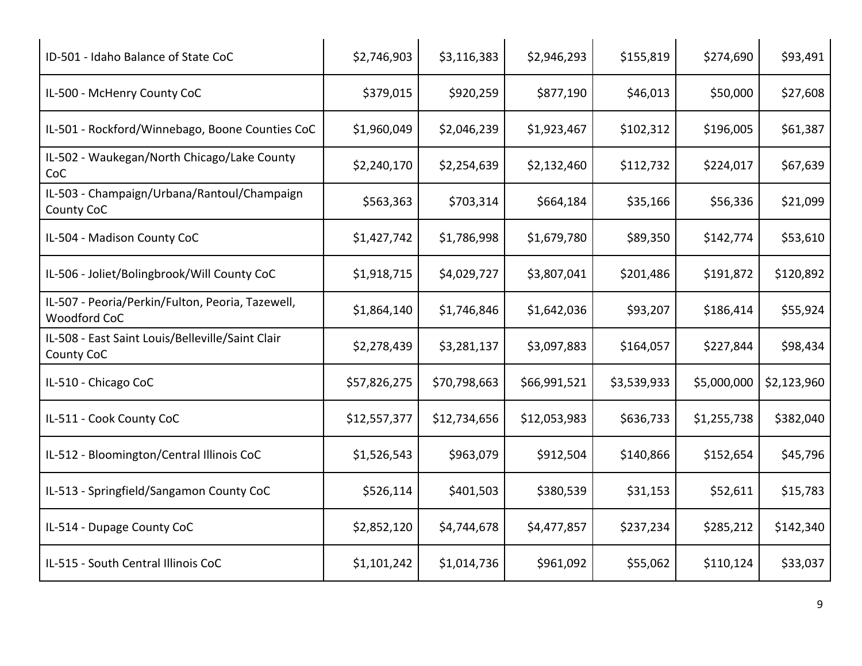| ID-501 - Idaho Balance of State CoC                                     | \$2,746,903  | \$3,116,383  | \$2,946,293  | \$155,819   | \$274,690   | \$93,491    |
|-------------------------------------------------------------------------|--------------|--------------|--------------|-------------|-------------|-------------|
| IL-500 - McHenry County CoC                                             | \$379,015    | \$920,259    | \$877,190    | \$46,013    | \$50,000    | \$27,608    |
| IL-501 - Rockford/Winnebago, Boone Counties CoC                         | \$1,960,049  | \$2,046,239  | \$1,923,467  | \$102,312   | \$196,005   | \$61,387    |
| IL-502 - Waukegan/North Chicago/Lake County<br>CoC                      | \$2,240,170  | \$2,254,639  | \$2,132,460  | \$112,732   | \$224,017   | \$67,639    |
| IL-503 - Champaign/Urbana/Rantoul/Champaign<br>County CoC               | \$563,363    | \$703,314    | \$664,184    | \$35,166    | \$56,336    | \$21,099    |
| IL-504 - Madison County CoC                                             | \$1,427,742  | \$1,786,998  | \$1,679,780  | \$89,350    | \$142,774   | \$53,610    |
| IL-506 - Joliet/Bolingbrook/Will County CoC                             | \$1,918,715  | \$4,029,727  | \$3,807,041  | \$201,486   | \$191,872   | \$120,892   |
| IL-507 - Peoria/Perkin/Fulton, Peoria, Tazewell,<br><b>Woodford CoC</b> | \$1,864,140  | \$1,746,846  | \$1,642,036  | \$93,207    | \$186,414   | \$55,924    |
| IL-508 - East Saint Louis/Belleville/Saint Clair<br>County CoC          | \$2,278,439  | \$3,281,137  | \$3,097,883  | \$164,057   | \$227,844   | \$98,434    |
| IL-510 - Chicago CoC                                                    | \$57,826,275 | \$70,798,663 | \$66,991,521 | \$3,539,933 | \$5,000,000 | \$2,123,960 |
| IL-511 - Cook County CoC                                                | \$12,557,377 | \$12,734,656 | \$12,053,983 | \$636,733   | \$1,255,738 | \$382,040   |
| IL-512 - Bloomington/Central Illinois CoC                               | \$1,526,543  | \$963,079    | \$912,504    | \$140,866   | \$152,654   | \$45,796    |
| IL-513 - Springfield/Sangamon County CoC                                | \$526,114    | \$401,503    | \$380,539    | \$31,153    | \$52,611    | \$15,783    |
| IL-514 - Dupage County CoC                                              | \$2,852,120  | \$4,744,678  | \$4,477,857  | \$237,234   | \$285,212   | \$142,340   |
| IL-515 - South Central Illinois CoC                                     | \$1,101,242  | \$1,014,736  | \$961,092    | \$55,062    | \$110,124   | \$33,037    |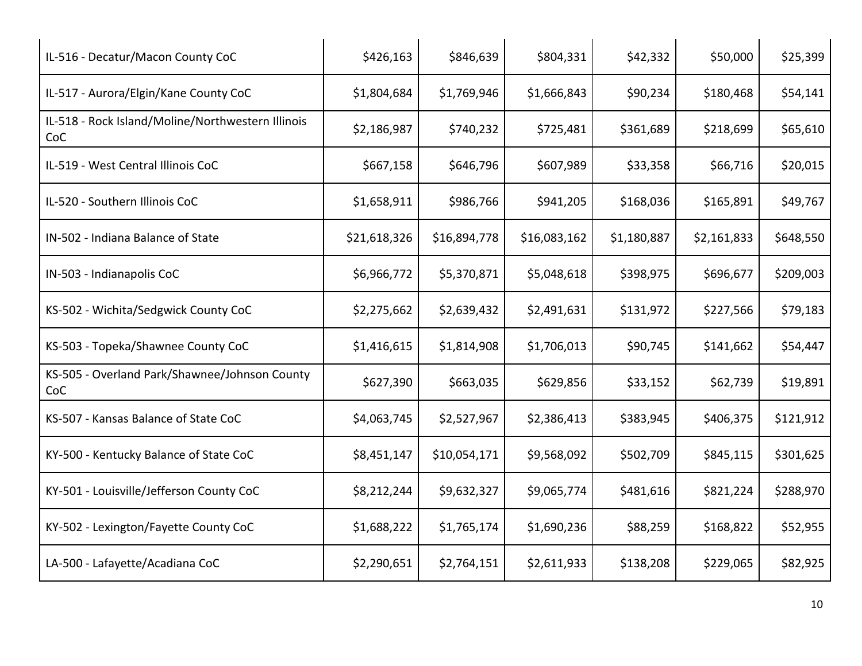| IL-516 - Decatur/Macon County CoC                        | \$426,163    | \$846,639    | \$804,331    | \$42,332    | \$50,000    | \$25,399  |
|----------------------------------------------------------|--------------|--------------|--------------|-------------|-------------|-----------|
| IL-517 - Aurora/Elgin/Kane County CoC                    | \$1,804,684  | \$1,769,946  | \$1,666,843  | \$90,234    | \$180,468   | \$54,141  |
| IL-518 - Rock Island/Moline/Northwestern Illinois<br>CoC | \$2,186,987  | \$740,232    | \$725,481    | \$361,689   | \$218,699   | \$65,610  |
| IL-519 - West Central Illinois CoC                       | \$667,158    | \$646,796    | \$607,989    | \$33,358    | \$66,716    | \$20,015  |
| IL-520 - Southern Illinois CoC                           | \$1,658,911  | \$986,766    | \$941,205    | \$168,036   | \$165,891   | \$49,767  |
| IN-502 - Indiana Balance of State                        | \$21,618,326 | \$16,894,778 | \$16,083,162 | \$1,180,887 | \$2,161,833 | \$648,550 |
| IN-503 - Indianapolis CoC                                | \$6,966,772  | \$5,370,871  | \$5,048,618  | \$398,975   | \$696,677   | \$209,003 |
| KS-502 - Wichita/Sedgwick County CoC                     | \$2,275,662  | \$2,639,432  | \$2,491,631  | \$131,972   | \$227,566   | \$79,183  |
| KS-503 - Topeka/Shawnee County CoC                       | \$1,416,615  | \$1,814,908  | \$1,706,013  | \$90,745    | \$141,662   | \$54,447  |
| KS-505 - Overland Park/Shawnee/Johnson County<br>CoC     | \$627,390    | \$663,035    | \$629,856    | \$33,152    | \$62,739    | \$19,891  |
| KS-507 - Kansas Balance of State CoC                     | \$4,063,745  | \$2,527,967  | \$2,386,413  | \$383,945   | \$406,375   | \$121,912 |
| KY-500 - Kentucky Balance of State CoC                   | \$8,451,147  | \$10,054,171 | \$9,568,092  | \$502,709   | \$845,115   | \$301,625 |
| KY-501 - Louisville/Jefferson County CoC                 | \$8,212,244  | \$9,632,327  | \$9,065,774  | \$481,616   | \$821,224   | \$288,970 |
| KY-502 - Lexington/Fayette County CoC                    | \$1,688,222  | \$1,765,174  | \$1,690,236  | \$88,259    | \$168,822   | \$52,955  |
| LA-500 - Lafayette/Acadiana CoC                          | \$2,290,651  | \$2,764,151  | \$2,611,933  | \$138,208   | \$229,065   | \$82,925  |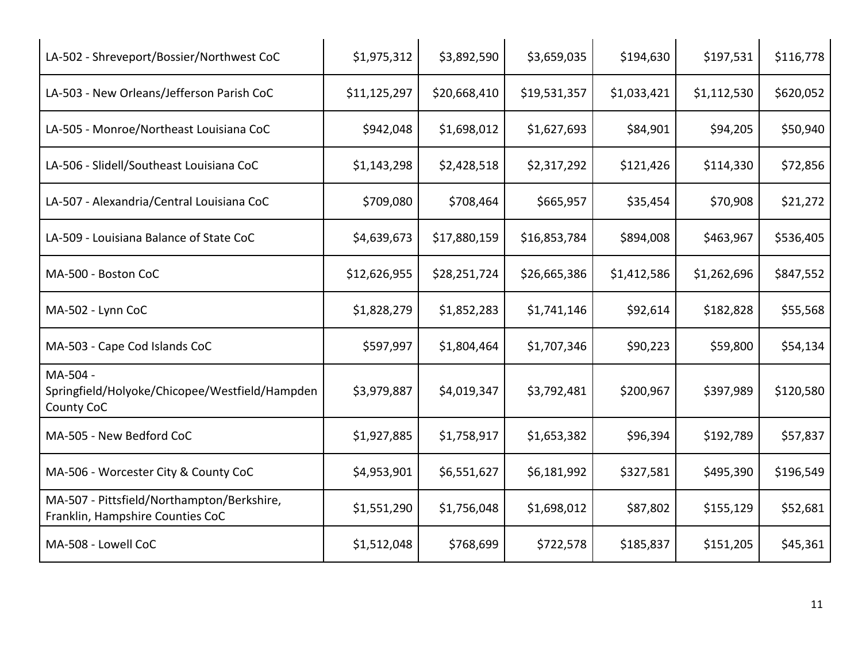| LA-502 - Shreveport/Bossier/Northwest CoC                                      | \$1,975,312  | \$3,892,590  | \$3,659,035  | \$194,630   | \$197,531   | \$116,778 |
|--------------------------------------------------------------------------------|--------------|--------------|--------------|-------------|-------------|-----------|
| LA-503 - New Orleans/Jefferson Parish CoC                                      | \$11,125,297 | \$20,668,410 | \$19,531,357 | \$1,033,421 | \$1,112,530 | \$620,052 |
| LA-505 - Monroe/Northeast Louisiana CoC                                        | \$942,048    | \$1,698,012  | \$1,627,693  | \$84,901    | \$94,205    | \$50,940  |
| LA-506 - Slidell/Southeast Louisiana CoC                                       | \$1,143,298  | \$2,428,518  | \$2,317,292  | \$121,426   | \$114,330   | \$72,856  |
| LA-507 - Alexandria/Central Louisiana CoC                                      | \$709,080    | \$708,464    | \$665,957    | \$35,454    | \$70,908    | \$21,272  |
| LA-509 - Louisiana Balance of State CoC                                        | \$4,639,673  | \$17,880,159 | \$16,853,784 | \$894,008   | \$463,967   | \$536,405 |
| MA-500 - Boston CoC                                                            | \$12,626,955 | \$28,251,724 | \$26,665,386 | \$1,412,586 | \$1,262,696 | \$847,552 |
| MA-502 - Lynn CoC                                                              | \$1,828,279  | \$1,852,283  | \$1,741,146  | \$92,614    | \$182,828   | \$55,568  |
| MA-503 - Cape Cod Islands CoC                                                  | \$597,997    | \$1,804,464  | \$1,707,346  | \$90,223    | \$59,800    | \$54,134  |
| MA-504 -<br>Springfield/Holyoke/Chicopee/Westfield/Hampden<br>County CoC       | \$3,979,887  | \$4,019,347  | \$3,792,481  | \$200,967   | \$397,989   | \$120,580 |
| MA-505 - New Bedford CoC                                                       | \$1,927,885  | \$1,758,917  | \$1,653,382  | \$96,394    | \$192,789   | \$57,837  |
| MA-506 - Worcester City & County CoC                                           | \$4,953,901  | \$6,551,627  | \$6,181,992  | \$327,581   | \$495,390   | \$196,549 |
| MA-507 - Pittsfield/Northampton/Berkshire,<br>Franklin, Hampshire Counties CoC | \$1,551,290  | \$1,756,048  | \$1,698,012  | \$87,802    | \$155,129   | \$52,681  |
| MA-508 - Lowell CoC                                                            | \$1,512,048  | \$768,699    | \$722,578    | \$185,837   | \$151,205   | \$45,361  |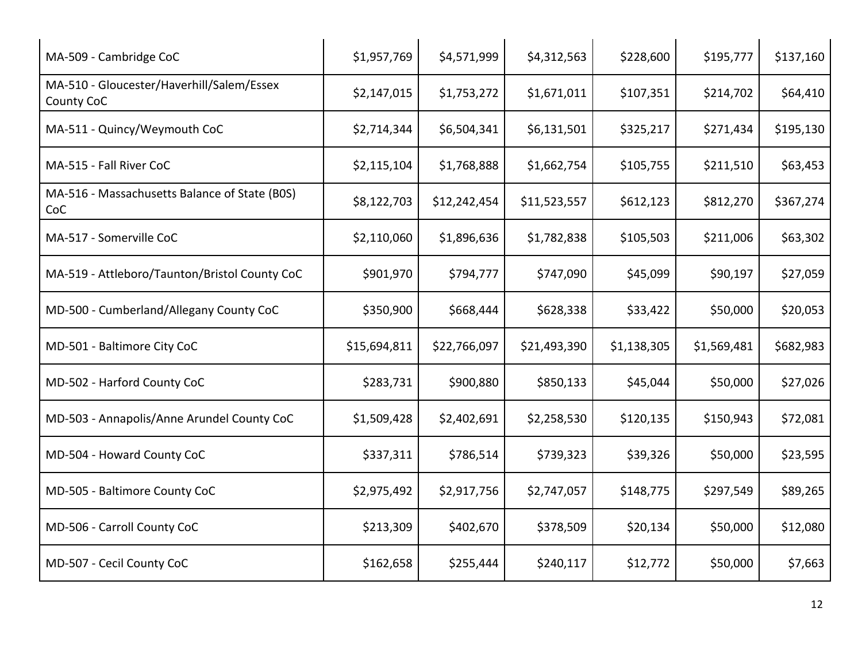| MA-509 - Cambridge CoC                                  | \$1,957,769  | \$4,571,999  | \$4,312,563  | \$228,600   | \$195,777   | \$137,160 |
|---------------------------------------------------------|--------------|--------------|--------------|-------------|-------------|-----------|
| MA-510 - Gloucester/Haverhill/Salem/Essex<br>County CoC | \$2,147,015  | \$1,753,272  | \$1,671,011  | \$107,351   | \$214,702   | \$64,410  |
| MA-511 - Quincy/Weymouth CoC                            | \$2,714,344  | \$6,504,341  | \$6,131,501  | \$325,217   | \$271,434   | \$195,130 |
| MA-515 - Fall River CoC                                 | \$2,115,104  | \$1,768,888  | \$1,662,754  | \$105,755   | \$211,510   | \$63,453  |
| MA-516 - Massachusetts Balance of State (BOS)<br>CoC    | \$8,122,703  | \$12,242,454 | \$11,523,557 | \$612,123   | \$812,270   | \$367,274 |
| MA-517 - Somerville CoC                                 | \$2,110,060  | \$1,896,636  | \$1,782,838  | \$105,503   | \$211,006   | \$63,302  |
| MA-519 - Attleboro/Taunton/Bristol County CoC           | \$901,970    | \$794,777    | \$747,090    | \$45,099    | \$90,197    | \$27,059  |
| MD-500 - Cumberland/Allegany County CoC                 | \$350,900    | \$668,444    | \$628,338    | \$33,422    | \$50,000    | \$20,053  |
| MD-501 - Baltimore City CoC                             | \$15,694,811 | \$22,766,097 | \$21,493,390 | \$1,138,305 | \$1,569,481 | \$682,983 |
| MD-502 - Harford County CoC                             | \$283,731    | \$900,880    | \$850,133    | \$45,044    | \$50,000    | \$27,026  |
| MD-503 - Annapolis/Anne Arundel County CoC              | \$1,509,428  | \$2,402,691  | \$2,258,530  | \$120,135   | \$150,943   | \$72,081  |
| MD-504 - Howard County CoC                              | \$337,311    | \$786,514    | \$739,323    | \$39,326    | \$50,000    | \$23,595  |
| MD-505 - Baltimore County CoC                           | \$2,975,492  | \$2,917,756  | \$2,747,057  | \$148,775   | \$297,549   | \$89,265  |
| MD-506 - Carroll County CoC                             | \$213,309    | \$402,670    | \$378,509    | \$20,134    | \$50,000    | \$12,080  |
| MD-507 - Cecil County CoC                               | \$162,658    | \$255,444    | \$240,117    | \$12,772    | \$50,000    | \$7,663   |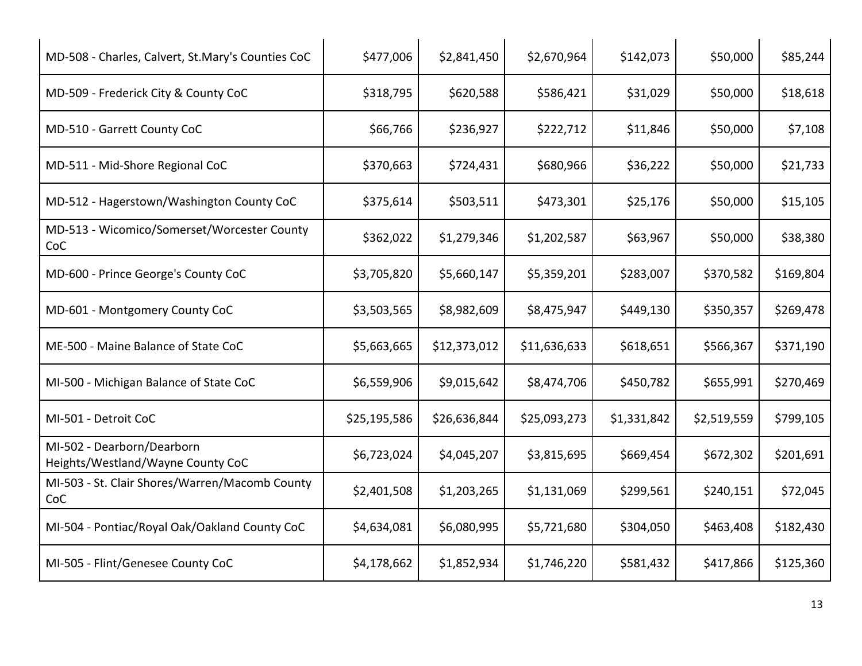| MD-508 - Charles, Calvert, St.Mary's Counties CoC               | \$477,006    | \$2,841,450  | \$2,670,964  | \$142,073   | \$50,000    | \$85,244  |
|-----------------------------------------------------------------|--------------|--------------|--------------|-------------|-------------|-----------|
| MD-509 - Frederick City & County CoC                            | \$318,795    | \$620,588    | \$586,421    | \$31,029    | \$50,000    | \$18,618  |
| MD-510 - Garrett County CoC                                     | \$66,766     | \$236,927    | \$222,712    | \$11,846    | \$50,000    | \$7,108   |
| MD-511 - Mid-Shore Regional CoC                                 | \$370,663    | \$724,431    | \$680,966    | \$36,222    | \$50,000    | \$21,733  |
| MD-512 - Hagerstown/Washington County CoC                       | \$375,614    | \$503,511    | \$473,301    | \$25,176    | \$50,000    | \$15,105  |
| MD-513 - Wicomico/Somerset/Worcester County<br>CoC              | \$362,022    | \$1,279,346  | \$1,202,587  | \$63,967    | \$50,000    | \$38,380  |
| MD-600 - Prince George's County CoC                             | \$3,705,820  | \$5,660,147  | \$5,359,201  | \$283,007   | \$370,582   | \$169,804 |
| MD-601 - Montgomery County CoC                                  | \$3,503,565  | \$8,982,609  | \$8,475,947  | \$449,130   | \$350,357   | \$269,478 |
| ME-500 - Maine Balance of State CoC                             | \$5,663,665  | \$12,373,012 | \$11,636,633 | \$618,651   | \$566,367   | \$371,190 |
| MI-500 - Michigan Balance of State CoC                          | \$6,559,906  | \$9,015,642  | \$8,474,706  | \$450,782   | \$655,991   | \$270,469 |
| MI-501 - Detroit CoC                                            | \$25,195,586 | \$26,636,844 | \$25,093,273 | \$1,331,842 | \$2,519,559 | \$799,105 |
| MI-502 - Dearborn/Dearborn<br>Heights/Westland/Wayne County CoC | \$6,723,024  | \$4,045,207  | \$3,815,695  | \$669,454   | \$672,302   | \$201,691 |
| MI-503 - St. Clair Shores/Warren/Macomb County<br>CoC           | \$2,401,508  | \$1,203,265  | \$1,131,069  | \$299,561   | \$240,151   | \$72,045  |
| MI-504 - Pontiac/Royal Oak/Oakland County CoC                   | \$4,634,081  | \$6,080,995  | \$5,721,680  | \$304,050   | \$463,408   | \$182,430 |
| MI-505 - Flint/Genesee County CoC                               | \$4,178,662  | \$1,852,934  | \$1,746,220  | \$581,432   | \$417,866   | \$125,360 |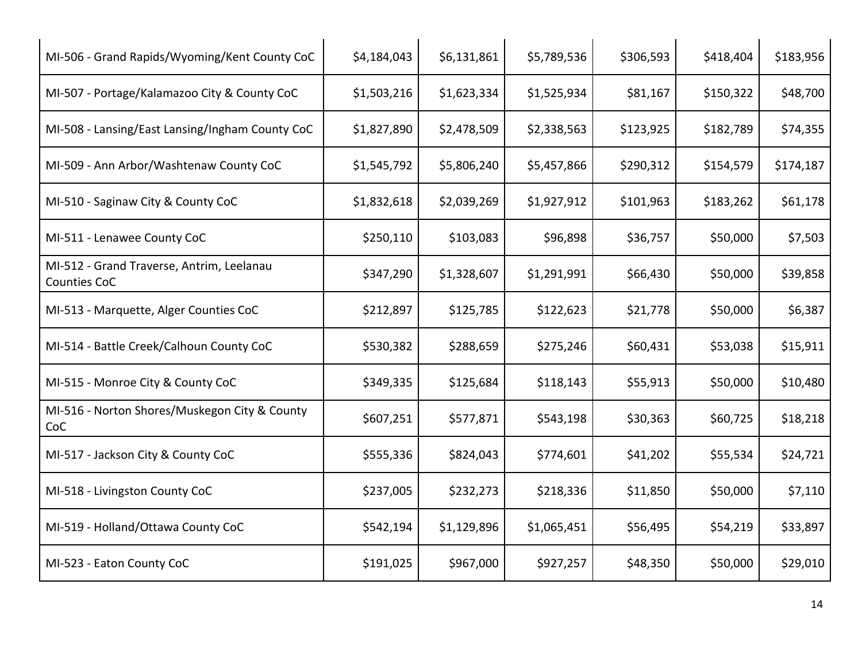| MI-506 - Grand Rapids/Wyoming/Kent County CoC             | \$4,184,043 | \$6,131,861 | \$5,789,536 | \$306,593 | \$418,404 | \$183,956 |
|-----------------------------------------------------------|-------------|-------------|-------------|-----------|-----------|-----------|
| MI-507 - Portage/Kalamazoo City & County CoC              | \$1,503,216 | \$1,623,334 | \$1,525,934 | \$81,167  | \$150,322 | \$48,700  |
| MI-508 - Lansing/East Lansing/Ingham County CoC           | \$1,827,890 | \$2,478,509 | \$2,338,563 | \$123,925 | \$182,789 | \$74,355  |
| MI-509 - Ann Arbor/Washtenaw County CoC                   | \$1,545,792 | \$5,806,240 | \$5,457,866 | \$290,312 | \$154,579 | \$174,187 |
| MI-510 - Saginaw City & County CoC                        | \$1,832,618 | \$2,039,269 | \$1,927,912 | \$101,963 | \$183,262 | \$61,178  |
| MI-511 - Lenawee County CoC                               | \$250,110   | \$103,083   | \$96,898    | \$36,757  | \$50,000  | \$7,503   |
| MI-512 - Grand Traverse, Antrim, Leelanau<br>Counties CoC | \$347,290   | \$1,328,607 | \$1,291,991 | \$66,430  | \$50,000  | \$39,858  |
| MI-513 - Marquette, Alger Counties CoC                    | \$212,897   | \$125,785   | \$122,623   | \$21,778  | \$50,000  | \$6,387   |
| MI-514 - Battle Creek/Calhoun County CoC                  | \$530,382   | \$288,659   | \$275,246   | \$60,431  | \$53,038  | \$15,911  |
| MI-515 - Monroe City & County CoC                         | \$349,335   | \$125,684   | \$118,143   | \$55,913  | \$50,000  | \$10,480  |
| MI-516 - Norton Shores/Muskegon City & County<br>CoC      | \$607,251   | \$577,871   | \$543,198   | \$30,363  | \$60,725  | \$18,218  |
| MI-517 - Jackson City & County CoC                        | \$555,336   | \$824,043   | \$774,601   | \$41,202  | \$55,534  | \$24,721  |
| MI-518 - Livingston County CoC                            | \$237,005   | \$232,273   | \$218,336   | \$11,850  | \$50,000  | \$7,110   |
| MI-519 - Holland/Ottawa County CoC                        | \$542,194   | \$1,129,896 | \$1,065,451 | \$56,495  | \$54,219  | \$33,897  |
| MI-523 - Eaton County CoC                                 | \$191,025   | \$967,000   | \$927,257   | \$48,350  | \$50,000  | \$29,010  |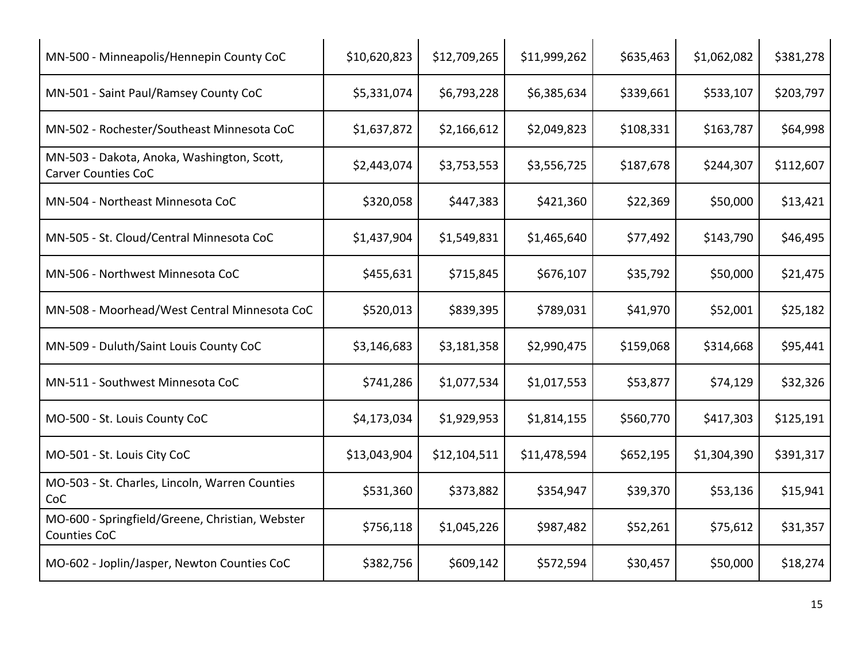| MN-500 - Minneapolis/Hennepin County CoC                                 | \$10,620,823 | \$12,709,265 | \$11,999,262 | \$635,463 | \$1,062,082 | \$381,278 |
|--------------------------------------------------------------------------|--------------|--------------|--------------|-----------|-------------|-----------|
| MN-501 - Saint Paul/Ramsey County CoC                                    | \$5,331,074  | \$6,793,228  | \$6,385,634  | \$339,661 | \$533,107   | \$203,797 |
| MN-502 - Rochester/Southeast Minnesota CoC                               | \$1,637,872  | \$2,166,612  | \$2,049,823  | \$108,331 | \$163,787   | \$64,998  |
| MN-503 - Dakota, Anoka, Washington, Scott,<br><b>Carver Counties CoC</b> | \$2,443,074  | \$3,753,553  | \$3,556,725  | \$187,678 | \$244,307   | \$112,607 |
| MN-504 - Northeast Minnesota CoC                                         | \$320,058    | \$447,383    | \$421,360    | \$22,369  | \$50,000    | \$13,421  |
| MN-505 - St. Cloud/Central Minnesota CoC                                 | \$1,437,904  | \$1,549,831  | \$1,465,640  | \$77,492  | \$143,790   | \$46,495  |
| MN-506 - Northwest Minnesota CoC                                         | \$455,631    | \$715,845    | \$676,107    | \$35,792  | \$50,000    | \$21,475  |
| MN-508 - Moorhead/West Central Minnesota CoC                             | \$520,013    | \$839,395    | \$789,031    | \$41,970  | \$52,001    | \$25,182  |
| MN-509 - Duluth/Saint Louis County CoC                                   | \$3,146,683  | \$3,181,358  | \$2,990,475  | \$159,068 | \$314,668   | \$95,441  |
| MN-511 - Southwest Minnesota CoC                                         | \$741,286    | \$1,077,534  | \$1,017,553  | \$53,877  | \$74,129    | \$32,326  |
| MO-500 - St. Louis County CoC                                            | \$4,173,034  | \$1,929,953  | \$1,814,155  | \$560,770 | \$417,303   | \$125,191 |
| MO-501 - St. Louis City CoC                                              | \$13,043,904 | \$12,104,511 | \$11,478,594 | \$652,195 | \$1,304,390 | \$391,317 |
| MO-503 - St. Charles, Lincoln, Warren Counties<br>CoC                    | \$531,360    | \$373,882    | \$354,947    | \$39,370  | \$53,136    | \$15,941  |
| MO-600 - Springfield/Greene, Christian, Webster<br>Counties CoC          | \$756,118    | \$1,045,226  | \$987,482    | \$52,261  | \$75,612    | \$31,357  |
| MO-602 - Joplin/Jasper, Newton Counties CoC                              | \$382,756    | \$609,142    | \$572,594    | \$30,457  | \$50,000    | \$18,274  |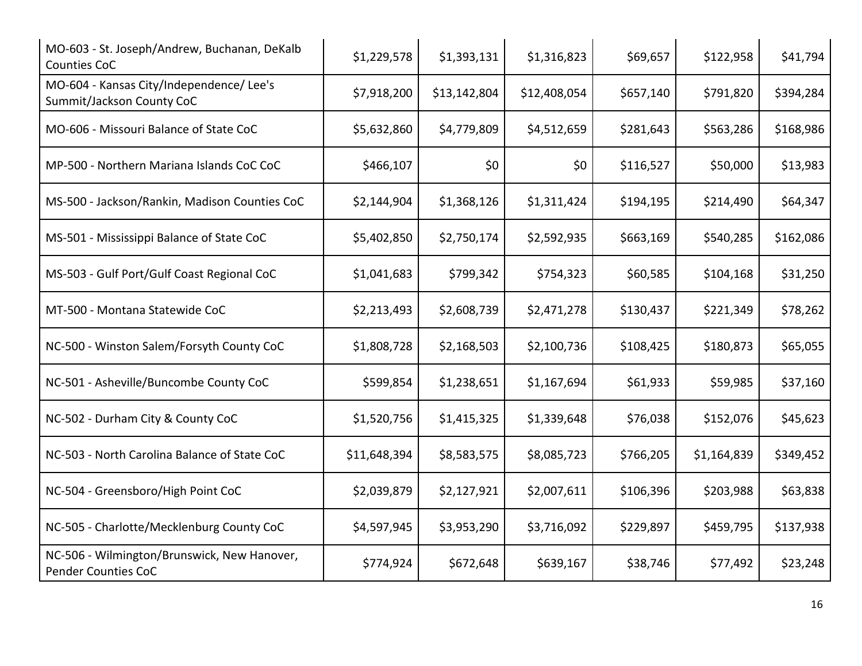| MO-603 - St. Joseph/Andrew, Buchanan, DeKalb<br><b>Counties CoC</b>   | \$1,229,578  | \$1,393,131  | \$1,316,823  | \$69,657  | \$122,958   | \$41,794  |
|-----------------------------------------------------------------------|--------------|--------------|--------------|-----------|-------------|-----------|
| MO-604 - Kansas City/Independence/ Lee's<br>Summit/Jackson County CoC | \$7,918,200  | \$13,142,804 | \$12,408,054 | \$657,140 | \$791,820   | \$394,284 |
| MO-606 - Missouri Balance of State CoC                                | \$5,632,860  | \$4,779,809  | \$4,512,659  | \$281,643 | \$563,286   | \$168,986 |
| MP-500 - Northern Mariana Islands CoC CoC                             | \$466,107    | \$0          | \$0          | \$116,527 | \$50,000    | \$13,983  |
| MS-500 - Jackson/Rankin, Madison Counties CoC                         | \$2,144,904  | \$1,368,126  | \$1,311,424  | \$194,195 | \$214,490   | \$64,347  |
| MS-501 - Mississippi Balance of State CoC                             | \$5,402,850  | \$2,750,174  | \$2,592,935  | \$663,169 | \$540,285   | \$162,086 |
| MS-503 - Gulf Port/Gulf Coast Regional CoC                            | \$1,041,683  | \$799,342    | \$754,323    | \$60,585  | \$104,168   | \$31,250  |
| MT-500 - Montana Statewide CoC                                        | \$2,213,493  | \$2,608,739  | \$2,471,278  | \$130,437 | \$221,349   | \$78,262  |
| NC-500 - Winston Salem/Forsyth County CoC                             | \$1,808,728  | \$2,168,503  | \$2,100,736  | \$108,425 | \$180,873   | \$65,055  |
| NC-501 - Asheville/Buncombe County CoC                                | \$599,854    | \$1,238,651  | \$1,167,694  | \$61,933  | \$59,985    | \$37,160  |
| NC-502 - Durham City & County CoC                                     | \$1,520,756  | \$1,415,325  | \$1,339,648  | \$76,038  | \$152,076   | \$45,623  |
| NC-503 - North Carolina Balance of State CoC                          | \$11,648,394 | \$8,583,575  | \$8,085,723  | \$766,205 | \$1,164,839 | \$349,452 |
| NC-504 - Greensboro/High Point CoC                                    | \$2,039,879  | \$2,127,921  | \$2,007,611  | \$106,396 | \$203,988   | \$63,838  |
| NC-505 - Charlotte/Mecklenburg County CoC                             | \$4,597,945  | \$3,953,290  | \$3,716,092  | \$229,897 | \$459,795   | \$137,938 |
| NC-506 - Wilmington/Brunswick, New Hanover,<br>Pender Counties CoC    | \$774,924    | \$672,648    | \$639,167    | \$38,746  | \$77,492    | \$23,248  |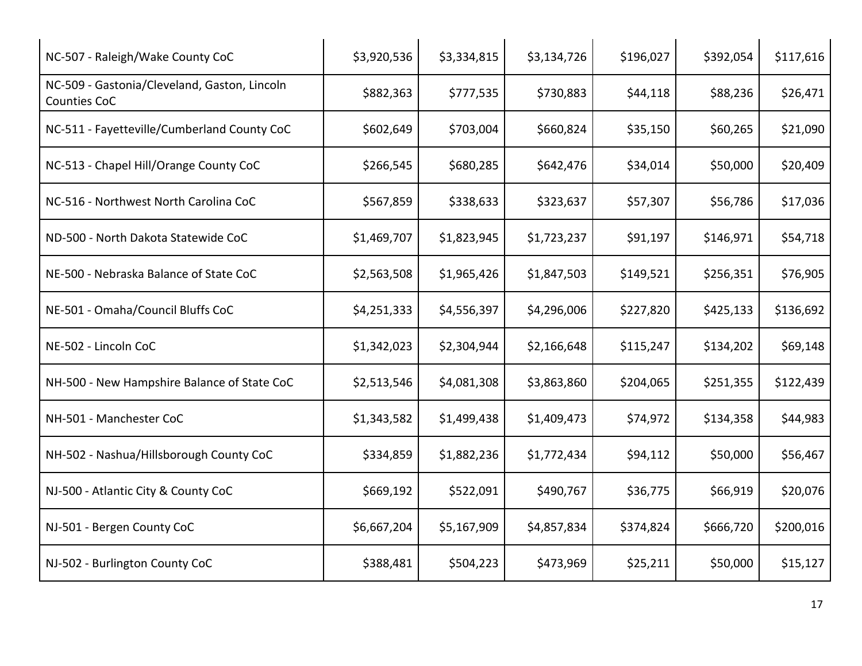| NC-507 - Raleigh/Wake County CoC                             | \$3,920,536 | \$3,334,815 | \$3,134,726 | \$196,027 | \$392,054 | \$117,616 |
|--------------------------------------------------------------|-------------|-------------|-------------|-----------|-----------|-----------|
| NC-509 - Gastonia/Cleveland, Gaston, Lincoln<br>Counties CoC | \$882,363   | \$777,535   | \$730,883   | \$44,118  | \$88,236  | \$26,471  |
| NC-511 - Fayetteville/Cumberland County CoC                  | \$602,649   | \$703,004   | \$660,824   | \$35,150  | \$60,265  | \$21,090  |
| NC-513 - Chapel Hill/Orange County CoC                       | \$266,545   | \$680,285   | \$642,476   | \$34,014  | \$50,000  | \$20,409  |
| NC-516 - Northwest North Carolina CoC                        | \$567,859   | \$338,633   | \$323,637   | \$57,307  | \$56,786  | \$17,036  |
| ND-500 - North Dakota Statewide CoC                          | \$1,469,707 | \$1,823,945 | \$1,723,237 | \$91,197  | \$146,971 | \$54,718  |
| NE-500 - Nebraska Balance of State CoC                       | \$2,563,508 | \$1,965,426 | \$1,847,503 | \$149,521 | \$256,351 | \$76,905  |
| NE-501 - Omaha/Council Bluffs CoC                            | \$4,251,333 | \$4,556,397 | \$4,296,006 | \$227,820 | \$425,133 | \$136,692 |
| NE-502 - Lincoln CoC                                         | \$1,342,023 | \$2,304,944 | \$2,166,648 | \$115,247 | \$134,202 | \$69,148  |
| NH-500 - New Hampshire Balance of State CoC                  | \$2,513,546 | \$4,081,308 | \$3,863,860 | \$204,065 | \$251,355 | \$122,439 |
| NH-501 - Manchester CoC                                      | \$1,343,582 | \$1,499,438 | \$1,409,473 | \$74,972  | \$134,358 | \$44,983  |
| NH-502 - Nashua/Hillsborough County CoC                      | \$334,859   | \$1,882,236 | \$1,772,434 | \$94,112  | \$50,000  | \$56,467  |
| NJ-500 - Atlantic City & County CoC                          | \$669,192   | \$522,091   | \$490,767   | \$36,775  | \$66,919  | \$20,076  |
| NJ-501 - Bergen County CoC                                   | \$6,667,204 | \$5,167,909 | \$4,857,834 | \$374,824 | \$666,720 | \$200,016 |
| NJ-502 - Burlington County CoC                               | \$388,481   | \$504,223   | \$473,969   | \$25,211  | \$50,000  | \$15,127  |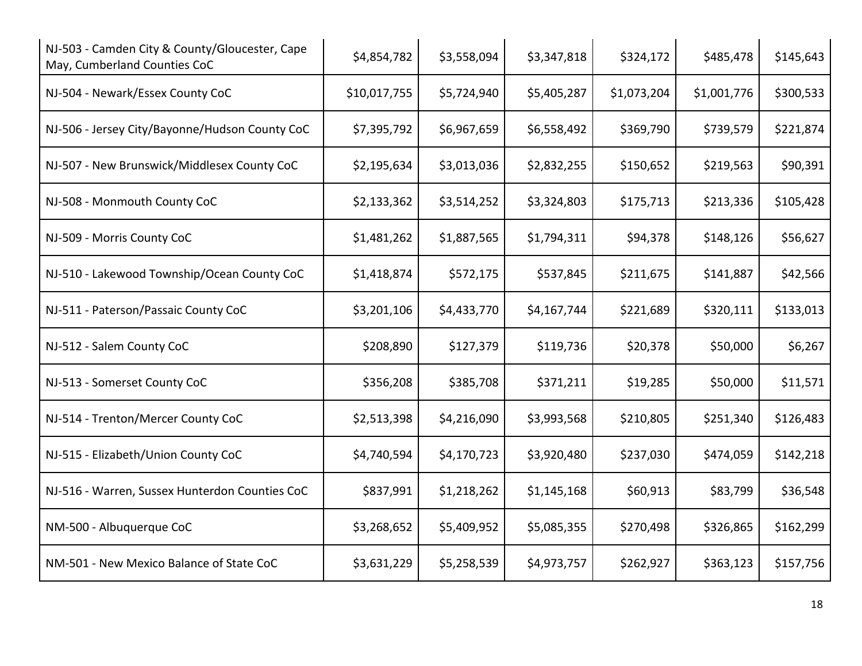| NJ-503 - Camden City & County/Gloucester, Cape<br>May, Cumberland Counties CoC | \$4,854,782  | \$3,558,094 | \$3,347,818 | \$324,172   | \$485,478   | \$145,643 |
|--------------------------------------------------------------------------------|--------------|-------------|-------------|-------------|-------------|-----------|
| NJ-504 - Newark/Essex County CoC                                               | \$10,017,755 | \$5,724,940 | \$5,405,287 | \$1,073,204 | \$1,001,776 | \$300,533 |
| NJ-506 - Jersey City/Bayonne/Hudson County CoC                                 | \$7,395,792  | \$6,967,659 | \$6,558,492 | \$369,790   | \$739,579   | \$221,874 |
| NJ-507 - New Brunswick/Middlesex County CoC                                    | \$2,195,634  | \$3,013,036 | \$2,832,255 | \$150,652   | \$219,563   | \$90,391  |
| NJ-508 - Monmouth County CoC                                                   | \$2,133,362  | \$3,514,252 | \$3,324,803 | \$175,713   | \$213,336   | \$105,428 |
| NJ-509 - Morris County CoC                                                     | \$1,481,262  | \$1,887,565 | \$1,794,311 | \$94,378    | \$148,126   | \$56,627  |
| NJ-510 - Lakewood Township/Ocean County CoC                                    | \$1,418,874  | \$572,175   | \$537,845   | \$211,675   | \$141,887   | \$42,566  |
| NJ-511 - Paterson/Passaic County CoC                                           | \$3,201,106  | \$4,433,770 | \$4,167,744 | \$221,689   | \$320,111   | \$133,013 |
| NJ-512 - Salem County CoC                                                      | \$208,890    | \$127,379   | \$119,736   | \$20,378    | \$50,000    | \$6,267   |
| NJ-513 - Somerset County CoC                                                   | \$356,208    | \$385,708   | \$371,211   | \$19,285    | \$50,000    | \$11,571  |
| NJ-514 - Trenton/Mercer County CoC                                             | \$2,513,398  | \$4,216,090 | \$3,993,568 | \$210,805   | \$251,340   | \$126,483 |
| NJ-515 - Elizabeth/Union County CoC                                            | \$4,740,594  | \$4,170,723 | \$3,920,480 | \$237,030   | \$474,059   | \$142,218 |
| NJ-516 - Warren, Sussex Hunterdon Counties CoC                                 | \$837,991    | \$1,218,262 | \$1,145,168 | \$60,913    | \$83,799    | \$36,548  |
| NM-500 - Albuquerque CoC                                                       | \$3,268,652  | \$5,409,952 | \$5,085,355 | \$270,498   | \$326,865   | \$162,299 |
| NM-501 - New Mexico Balance of State CoC                                       | \$3,631,229  | \$5,258,539 | \$4,973,757 | \$262,927   | \$363,123   | \$157,756 |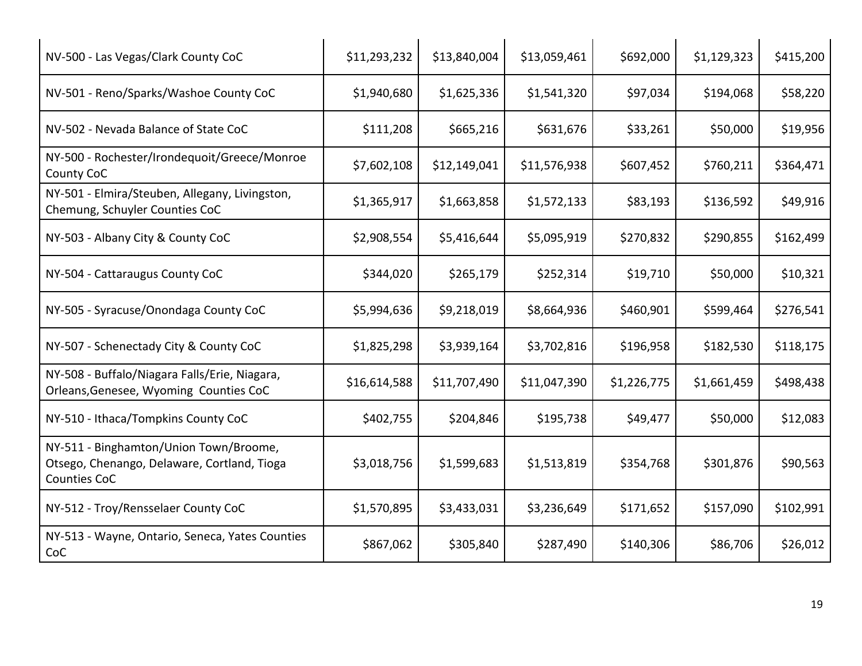| NV-500 - Las Vegas/Clark County CoC                                                                   | \$11,293,232 | \$13,840,004 | \$13,059,461 | \$692,000   | \$1,129,323 | \$415,200 |
|-------------------------------------------------------------------------------------------------------|--------------|--------------|--------------|-------------|-------------|-----------|
| NV-501 - Reno/Sparks/Washoe County CoC                                                                | \$1,940,680  | \$1,625,336  | \$1,541,320  | \$97,034    | \$194,068   | \$58,220  |
| NV-502 - Nevada Balance of State CoC                                                                  | \$111,208    | \$665,216    | \$631,676    | \$33,261    | \$50,000    | \$19,956  |
| NY-500 - Rochester/Irondequoit/Greece/Monroe<br>County CoC                                            | \$7,602,108  | \$12,149,041 | \$11,576,938 | \$607,452   | \$760,211   | \$364,471 |
| NY-501 - Elmira/Steuben, Allegany, Livingston,<br>Chemung, Schuyler Counties CoC                      | \$1,365,917  | \$1,663,858  | \$1,572,133  | \$83,193    | \$136,592   | \$49,916  |
| NY-503 - Albany City & County CoC                                                                     | \$2,908,554  | \$5,416,644  | \$5,095,919  | \$270,832   | \$290,855   | \$162,499 |
| NY-504 - Cattaraugus County CoC                                                                       | \$344,020    | \$265,179    | \$252,314    | \$19,710    | \$50,000    | \$10,321  |
| NY-505 - Syracuse/Onondaga County CoC                                                                 | \$5,994,636  | \$9,218,019  | \$8,664,936  | \$460,901   | \$599,464   | \$276,541 |
| NY-507 - Schenectady City & County CoC                                                                | \$1,825,298  | \$3,939,164  | \$3,702,816  | \$196,958   | \$182,530   | \$118,175 |
| NY-508 - Buffalo/Niagara Falls/Erie, Niagara,<br>Orleans, Genesee, Wyoming Counties CoC               | \$16,614,588 | \$11,707,490 | \$11,047,390 | \$1,226,775 | \$1,661,459 | \$498,438 |
| NY-510 - Ithaca/Tompkins County CoC                                                                   | \$402,755    | \$204,846    | \$195,738    | \$49,477    | \$50,000    | \$12,083  |
| NY-511 - Binghamton/Union Town/Broome,<br>Otsego, Chenango, Delaware, Cortland, Tioga<br>Counties CoC | \$3,018,756  | \$1,599,683  | \$1,513,819  | \$354,768   | \$301,876   | \$90,563  |
| NY-512 - Troy/Rensselaer County CoC                                                                   | \$1,570,895  | \$3,433,031  | \$3,236,649  | \$171,652   | \$157,090   | \$102,991 |
| NY-513 - Wayne, Ontario, Seneca, Yates Counties<br>CoC                                                | \$867,062    | \$305,840    | \$287,490    | \$140,306   | \$86,706    | \$26,012  |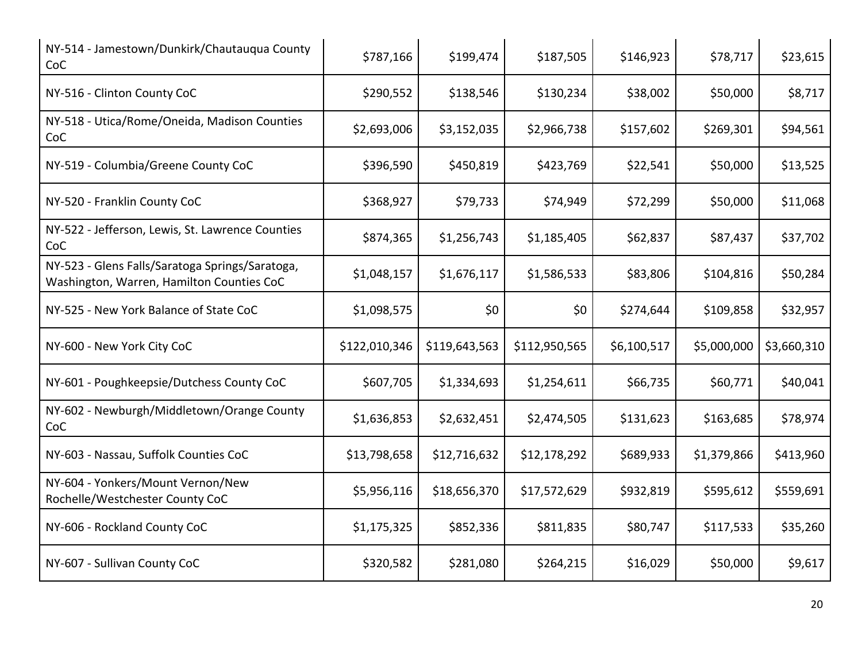| NY-514 - Jamestown/Dunkirk/Chautauqua County<br>CoC                                          | \$787,166     | \$199,474     | \$187,505     | \$146,923   | \$78,717    | \$23,615    |
|----------------------------------------------------------------------------------------------|---------------|---------------|---------------|-------------|-------------|-------------|
| NY-516 - Clinton County CoC                                                                  | \$290,552     | \$138,546     | \$130,234     | \$38,002    | \$50,000    | \$8,717     |
| NY-518 - Utica/Rome/Oneida, Madison Counties<br>CoC                                          | \$2,693,006   | \$3,152,035   | \$2,966,738   | \$157,602   | \$269,301   | \$94,561    |
| NY-519 - Columbia/Greene County CoC                                                          | \$396,590     | \$450,819     | \$423,769     | \$22,541    | \$50,000    | \$13,525    |
| NY-520 - Franklin County CoC                                                                 | \$368,927     | \$79,733      | \$74,949      | \$72,299    | \$50,000    | \$11,068    |
| NY-522 - Jefferson, Lewis, St. Lawrence Counties<br>CoC                                      | \$874,365     | \$1,256,743   | \$1,185,405   | \$62,837    | \$87,437    | \$37,702    |
| NY-523 - Glens Falls/Saratoga Springs/Saratoga,<br>Washington, Warren, Hamilton Counties CoC | \$1,048,157   | \$1,676,117   | \$1,586,533   | \$83,806    | \$104,816   | \$50,284    |
| NY-525 - New York Balance of State CoC                                                       | \$1,098,575   | \$0           | \$0           | \$274,644   | \$109,858   | \$32,957    |
| NY-600 - New York City CoC                                                                   | \$122,010,346 | \$119,643,563 | \$112,950,565 | \$6,100,517 | \$5,000,000 | \$3,660,310 |
| NY-601 - Poughkeepsie/Dutchess County CoC                                                    | \$607,705     | \$1,334,693   | \$1,254,611   | \$66,735    | \$60,771    | \$40,041    |
| NY-602 - Newburgh/Middletown/Orange County<br>CoC                                            | \$1,636,853   | \$2,632,451   | \$2,474,505   | \$131,623   | \$163,685   | \$78,974    |
| NY-603 - Nassau, Suffolk Counties CoC                                                        | \$13,798,658  | \$12,716,632  | \$12,178,292  | \$689,933   | \$1,379,866 | \$413,960   |
| NY-604 - Yonkers/Mount Vernon/New<br>Rochelle/Westchester County CoC                         | \$5,956,116   | \$18,656,370  | \$17,572,629  | \$932,819   | \$595,612   | \$559,691   |
| NY-606 - Rockland County CoC                                                                 | \$1,175,325   | \$852,336     | \$811,835     | \$80,747    | \$117,533   | \$35,260    |
| NY-607 - Sullivan County CoC                                                                 | \$320,582     | \$281,080     | \$264,215     | \$16,029    | \$50,000    | \$9,617     |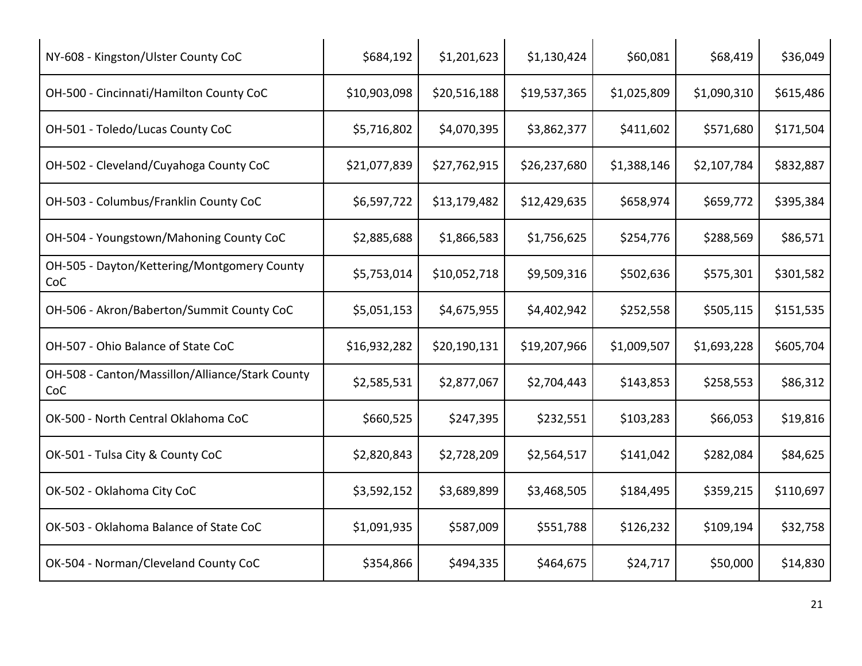| NY-608 - Kingston/Ulster County CoC                    | \$684,192    | \$1,201,623  | \$1,130,424  | \$60,081    | \$68,419    | \$36,049  |
|--------------------------------------------------------|--------------|--------------|--------------|-------------|-------------|-----------|
| OH-500 - Cincinnati/Hamilton County CoC                | \$10,903,098 | \$20,516,188 | \$19,537,365 | \$1,025,809 | \$1,090,310 | \$615,486 |
| OH-501 - Toledo/Lucas County CoC                       | \$5,716,802  | \$4,070,395  | \$3,862,377  | \$411,602   | \$571,680   | \$171,504 |
| OH-502 - Cleveland/Cuyahoga County CoC                 | \$21,077,839 | \$27,762,915 | \$26,237,680 | \$1,388,146 | \$2,107,784 | \$832,887 |
| OH-503 - Columbus/Franklin County CoC                  | \$6,597,722  | \$13,179,482 | \$12,429,635 | \$658,974   | \$659,772   | \$395,384 |
| OH-504 - Youngstown/Mahoning County CoC                | \$2,885,688  | \$1,866,583  | \$1,756,625  | \$254,776   | \$288,569   | \$86,571  |
| OH-505 - Dayton/Kettering/Montgomery County<br>CoC     | \$5,753,014  | \$10,052,718 | \$9,509,316  | \$502,636   | \$575,301   | \$301,582 |
| OH-506 - Akron/Baberton/Summit County CoC              | \$5,051,153  | \$4,675,955  | \$4,402,942  | \$252,558   | \$505,115   | \$151,535 |
| OH-507 - Ohio Balance of State CoC                     | \$16,932,282 | \$20,190,131 | \$19,207,966 | \$1,009,507 | \$1,693,228 | \$605,704 |
| OH-508 - Canton/Massillon/Alliance/Stark County<br>CoC | \$2,585,531  | \$2,877,067  | \$2,704,443  | \$143,853   | \$258,553   | \$86,312  |
| OK-500 - North Central Oklahoma CoC                    | \$660,525    | \$247,395    | \$232,551    | \$103,283   | \$66,053    | \$19,816  |
| OK-501 - Tulsa City & County CoC                       | \$2,820,843  | \$2,728,209  | \$2,564,517  | \$141,042   | \$282,084   | \$84,625  |
| OK-502 - Oklahoma City CoC                             | \$3,592,152  | \$3,689,899  | \$3,468,505  | \$184,495   | \$359,215   | \$110,697 |
| OK-503 - Oklahoma Balance of State CoC                 | \$1,091,935  | \$587,009    | \$551,788    | \$126,232   | \$109,194   | \$32,758  |
| OK-504 - Norman/Cleveland County CoC                   | \$354,866    | \$494,335    | \$464,675    | \$24,717    | \$50,000    | \$14,830  |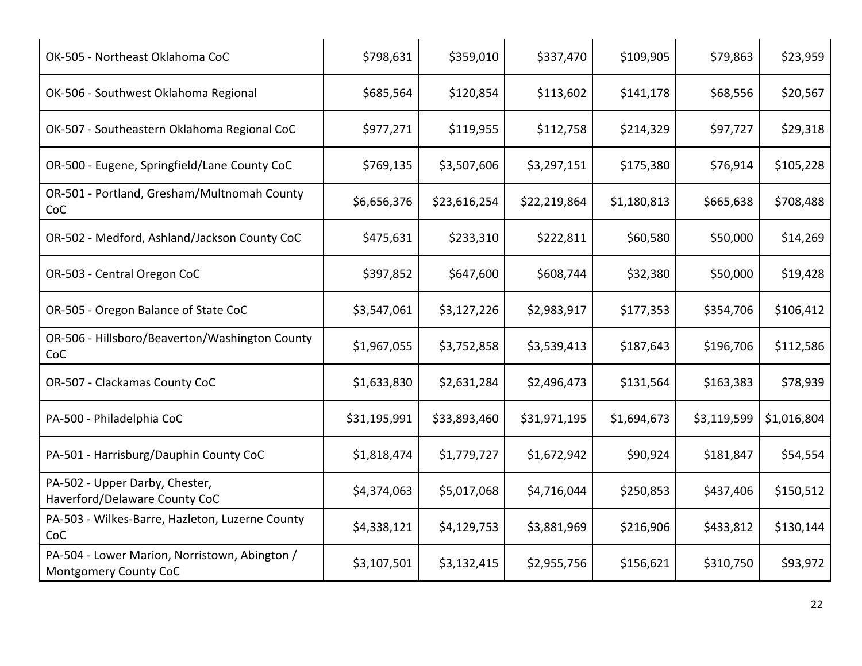| OK-505 - Northeast Oklahoma CoC                                        | \$798,631    | \$359,010    | \$337,470    | \$109,905   | \$79,863    | \$23,959    |
|------------------------------------------------------------------------|--------------|--------------|--------------|-------------|-------------|-------------|
| OK-506 - Southwest Oklahoma Regional                                   | \$685,564    | \$120,854    | \$113,602    | \$141,178   | \$68,556    | \$20,567    |
| OK-507 - Southeastern Oklahoma Regional CoC                            | \$977,271    | \$119,955    | \$112,758    | \$214,329   | \$97,727    | \$29,318    |
| OR-500 - Eugene, Springfield/Lane County CoC                           | \$769,135    | \$3,507,606  | \$3,297,151  | \$175,380   | \$76,914    | \$105,228   |
| OR-501 - Portland, Gresham/Multnomah County<br>CoC                     | \$6,656,376  | \$23,616,254 | \$22,219,864 | \$1,180,813 | \$665,638   | \$708,488   |
| OR-502 - Medford, Ashland/Jackson County CoC                           | \$475,631    | \$233,310    | \$222,811    | \$60,580    | \$50,000    | \$14,269    |
| OR-503 - Central Oregon CoC                                            | \$397,852    | \$647,600    | \$608,744    | \$32,380    | \$50,000    | \$19,428    |
| OR-505 - Oregon Balance of State CoC                                   | \$3,547,061  | \$3,127,226  | \$2,983,917  | \$177,353   | \$354,706   | \$106,412   |
| OR-506 - Hillsboro/Beaverton/Washington County<br>CoC                  | \$1,967,055  | \$3,752,858  | \$3,539,413  | \$187,643   | \$196,706   | \$112,586   |
| OR-507 - Clackamas County CoC                                          | \$1,633,830  | \$2,631,284  | \$2,496,473  | \$131,564   | \$163,383   | \$78,939    |
| PA-500 - Philadelphia CoC                                              | \$31,195,991 | \$33,893,460 | \$31,971,195 | \$1,694,673 | \$3,119,599 | \$1,016,804 |
| PA-501 - Harrisburg/Dauphin County CoC                                 | \$1,818,474  | \$1,779,727  | \$1,672,942  | \$90,924    | \$181,847   | \$54,554    |
| PA-502 - Upper Darby, Chester,<br>Haverford/Delaware County CoC        | \$4,374,063  | \$5,017,068  | \$4,716,044  | \$250,853   | \$437,406   | \$150,512   |
| PA-503 - Wilkes-Barre, Hazleton, Luzerne County<br>CoC                 | \$4,338,121  | \$4,129,753  | \$3,881,969  | \$216,906   | \$433,812   | \$130,144   |
| PA-504 - Lower Marion, Norristown, Abington /<br>Montgomery County CoC | \$3,107,501  | \$3,132,415  | \$2,955,756  | \$156,621   | \$310,750   | \$93,972    |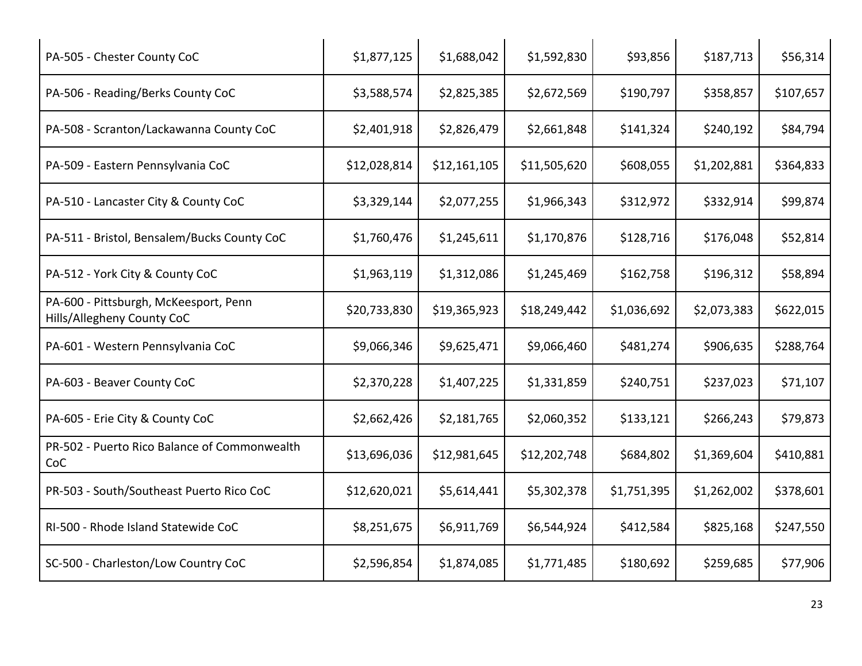| PA-505 - Chester County CoC                                         | \$1,877,125  | \$1,688,042  | \$1,592,830  | \$93,856    | \$187,713   | \$56,314  |
|---------------------------------------------------------------------|--------------|--------------|--------------|-------------|-------------|-----------|
| PA-506 - Reading/Berks County CoC                                   | \$3,588,574  | \$2,825,385  | \$2,672,569  | \$190,797   | \$358,857   | \$107,657 |
| PA-508 - Scranton/Lackawanna County CoC                             | \$2,401,918  | \$2,826,479  | \$2,661,848  | \$141,324   | \$240,192   | \$84,794  |
| PA-509 - Eastern Pennsylvania CoC                                   | \$12,028,814 | \$12,161,105 | \$11,505,620 | \$608,055   | \$1,202,881 | \$364,833 |
| PA-510 - Lancaster City & County CoC                                | \$3,329,144  | \$2,077,255  | \$1,966,343  | \$312,972   | \$332,914   | \$99,874  |
| PA-511 - Bristol, Bensalem/Bucks County CoC                         | \$1,760,476  | \$1,245,611  | \$1,170,876  | \$128,716   | \$176,048   | \$52,814  |
| PA-512 - York City & County CoC                                     | \$1,963,119  | \$1,312,086  | \$1,245,469  | \$162,758   | \$196,312   | \$58,894  |
| PA-600 - Pittsburgh, McKeesport, Penn<br>Hills/Allegheny County CoC | \$20,733,830 | \$19,365,923 | \$18,249,442 | \$1,036,692 | \$2,073,383 | \$622,015 |
| PA-601 - Western Pennsylvania CoC                                   | \$9,066,346  | \$9,625,471  | \$9,066,460  | \$481,274   | \$906,635   | \$288,764 |
| PA-603 - Beaver County CoC                                          | \$2,370,228  | \$1,407,225  | \$1,331,859  | \$240,751   | \$237,023   | \$71,107  |
| PA-605 - Erie City & County CoC                                     | \$2,662,426  | \$2,181,765  | \$2,060,352  | \$133,121   | \$266,243   | \$79,873  |
| PR-502 - Puerto Rico Balance of Commonwealth<br>CoC                 | \$13,696,036 | \$12,981,645 | \$12,202,748 | \$684,802   | \$1,369,604 | \$410,881 |
| PR-503 - South/Southeast Puerto Rico CoC                            | \$12,620,021 | \$5,614,441  | \$5,302,378  | \$1,751,395 | \$1,262,002 | \$378,601 |
| RI-500 - Rhode Island Statewide CoC                                 | \$8,251,675  | \$6,911,769  | \$6,544,924  | \$412,584   | \$825,168   | \$247,550 |
| SC-500 - Charleston/Low Country CoC                                 | \$2,596,854  | \$1,874,085  | \$1,771,485  | \$180,692   | \$259,685   | \$77,906  |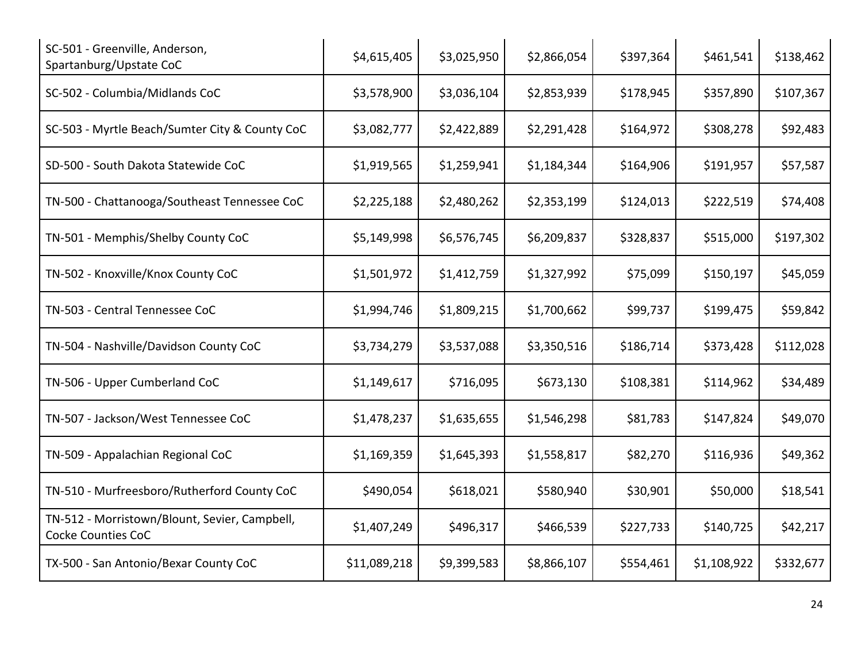| SC-501 - Greenville, Anderson,<br>Spartanburg/Upstate CoC           | \$4,615,405  | \$3,025,950 | \$2,866,054 | \$397,364 | \$461,541   | \$138,462 |
|---------------------------------------------------------------------|--------------|-------------|-------------|-----------|-------------|-----------|
| SC-502 - Columbia/Midlands CoC                                      | \$3,578,900  | \$3,036,104 | \$2,853,939 | \$178,945 | \$357,890   | \$107,367 |
| SC-503 - Myrtle Beach/Sumter City & County CoC                      | \$3,082,777  | \$2,422,889 | \$2,291,428 | \$164,972 | \$308,278   | \$92,483  |
| SD-500 - South Dakota Statewide CoC                                 | \$1,919,565  | \$1,259,941 | \$1,184,344 | \$164,906 | \$191,957   | \$57,587  |
| TN-500 - Chattanooga/Southeast Tennessee CoC                        | \$2,225,188  | \$2,480,262 | \$2,353,199 | \$124,013 | \$222,519   | \$74,408  |
| TN-501 - Memphis/Shelby County CoC                                  | \$5,149,998  | \$6,576,745 | \$6,209,837 | \$328,837 | \$515,000   | \$197,302 |
| TN-502 - Knoxville/Knox County CoC                                  | \$1,501,972  | \$1,412,759 | \$1,327,992 | \$75,099  | \$150,197   | \$45,059  |
| TN-503 - Central Tennessee CoC                                      | \$1,994,746  | \$1,809,215 | \$1,700,662 | \$99,737  | \$199,475   | \$59,842  |
| TN-504 - Nashville/Davidson County CoC                              | \$3,734,279  | \$3,537,088 | \$3,350,516 | \$186,714 | \$373,428   | \$112,028 |
| TN-506 - Upper Cumberland CoC                                       | \$1,149,617  | \$716,095   | \$673,130   | \$108,381 | \$114,962   | \$34,489  |
| TN-507 - Jackson/West Tennessee CoC                                 | \$1,478,237  | \$1,635,655 | \$1,546,298 | \$81,783  | \$147,824   | \$49,070  |
| TN-509 - Appalachian Regional CoC                                   | \$1,169,359  | \$1,645,393 | \$1,558,817 | \$82,270  | \$116,936   | \$49,362  |
| TN-510 - Murfreesboro/Rutherford County CoC                         | \$490,054    | \$618,021   | \$580,940   | \$30,901  | \$50,000    | \$18,541  |
| TN-512 - Morristown/Blount, Sevier, Campbell,<br>Cocke Counties CoC | \$1,407,249  | \$496,317   | \$466,539   | \$227,733 | \$140,725   | \$42,217  |
| TX-500 - San Antonio/Bexar County CoC                               | \$11,089,218 | \$9,399,583 | \$8,866,107 | \$554,461 | \$1,108,922 | \$332,677 |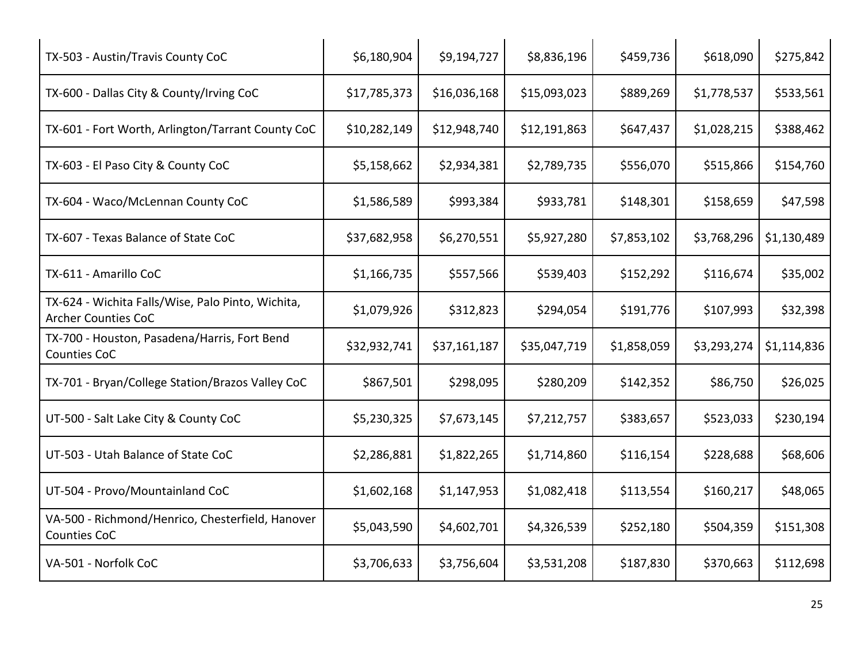| TX-503 - Austin/Travis County CoC                                               | \$6,180,904  | \$9,194,727  | \$8,836,196  | \$459,736   | \$618,090   | \$275,842   |
|---------------------------------------------------------------------------------|--------------|--------------|--------------|-------------|-------------|-------------|
| TX-600 - Dallas City & County/Irving CoC                                        | \$17,785,373 | \$16,036,168 | \$15,093,023 | \$889,269   | \$1,778,537 | \$533,561   |
| TX-601 - Fort Worth, Arlington/Tarrant County CoC                               | \$10,282,149 | \$12,948,740 | \$12,191,863 | \$647,437   | \$1,028,215 | \$388,462   |
| TX-603 - El Paso City & County CoC                                              | \$5,158,662  | \$2,934,381  | \$2,789,735  | \$556,070   | \$515,866   | \$154,760   |
| TX-604 - Waco/McLennan County CoC                                               | \$1,586,589  | \$993,384    | \$933,781    | \$148,301   | \$158,659   | \$47,598    |
| TX-607 - Texas Balance of State CoC                                             | \$37,682,958 | \$6,270,551  | \$5,927,280  | \$7,853,102 | \$3,768,296 | \$1,130,489 |
| TX-611 - Amarillo CoC                                                           | \$1,166,735  | \$557,566    | \$539,403    | \$152,292   | \$116,674   | \$35,002    |
| TX-624 - Wichita Falls/Wise, Palo Pinto, Wichita,<br><b>Archer Counties CoC</b> | \$1,079,926  | \$312,823    | \$294,054    | \$191,776   | \$107,993   | \$32,398    |
| TX-700 - Houston, Pasadena/Harris, Fort Bend<br>Counties CoC                    | \$32,932,741 | \$37,161,187 | \$35,047,719 | \$1,858,059 | \$3,293,274 | \$1,114,836 |
| TX-701 - Bryan/College Station/Brazos Valley CoC                                | \$867,501    | \$298,095    | \$280,209    | \$142,352   | \$86,750    | \$26,025    |
| UT-500 - Salt Lake City & County CoC                                            | \$5,230,325  | \$7,673,145  | \$7,212,757  | \$383,657   | \$523,033   | \$230,194   |
| UT-503 - Utah Balance of State CoC                                              | \$2,286,881  | \$1,822,265  | \$1,714,860  | \$116,154   | \$228,688   | \$68,606    |
| UT-504 - Provo/Mountainland CoC                                                 | \$1,602,168  | \$1,147,953  | \$1,082,418  | \$113,554   | \$160,217   | \$48,065    |
| VA-500 - Richmond/Henrico, Chesterfield, Hanover<br>Counties CoC                | \$5,043,590  | \$4,602,701  | \$4,326,539  | \$252,180   | \$504,359   | \$151,308   |
| VA-501 - Norfolk CoC                                                            | \$3,706,633  | \$3,756,604  | \$3,531,208  | \$187,830   | \$370,663   | \$112,698   |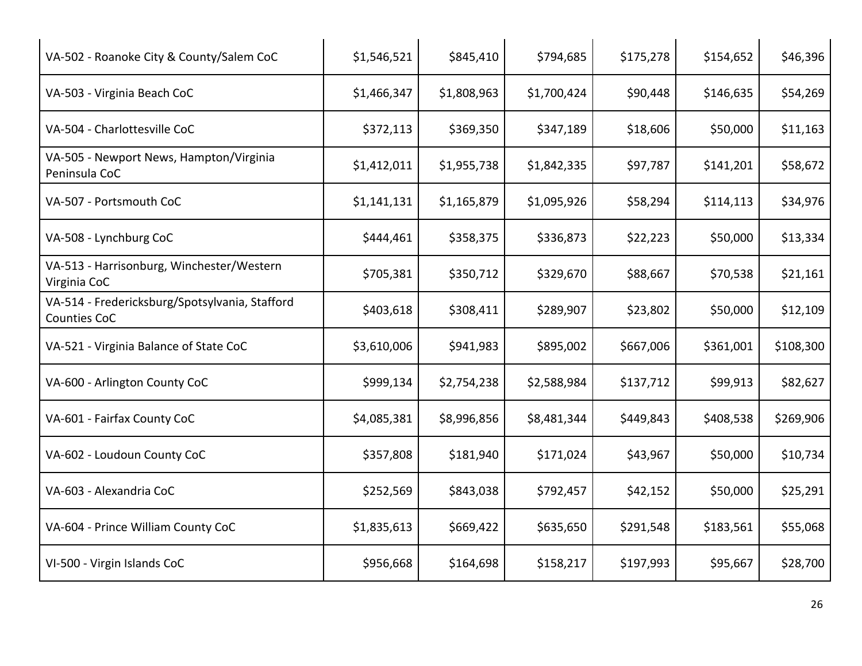| VA-502 - Roanoke City & County/Salem CoC                       | \$1,546,521 | \$845,410   | \$794,685   | \$175,278 | \$154,652 | \$46,396  |
|----------------------------------------------------------------|-------------|-------------|-------------|-----------|-----------|-----------|
| VA-503 - Virginia Beach CoC                                    | \$1,466,347 | \$1,808,963 | \$1,700,424 | \$90,448  | \$146,635 | \$54,269  |
| VA-504 - Charlottesville CoC                                   | \$372,113   | \$369,350   | \$347,189   | \$18,606  | \$50,000  | \$11,163  |
| VA-505 - Newport News, Hampton/Virginia<br>Peninsula CoC       | \$1,412,011 | \$1,955,738 | \$1,842,335 | \$97,787  | \$141,201 | \$58,672  |
| VA-507 - Portsmouth CoC                                        | \$1,141,131 | \$1,165,879 | \$1,095,926 | \$58,294  | \$114,113 | \$34,976  |
| VA-508 - Lynchburg CoC                                         | \$444,461   | \$358,375   | \$336,873   | \$22,223  | \$50,000  | \$13,334  |
| VA-513 - Harrisonburg, Winchester/Western<br>Virginia CoC      | \$705,381   | \$350,712   | \$329,670   | \$88,667  | \$70,538  | \$21,161  |
| VA-514 - Fredericksburg/Spotsylvania, Stafford<br>Counties CoC | \$403,618   | \$308,411   | \$289,907   | \$23,802  | \$50,000  | \$12,109  |
| VA-521 - Virginia Balance of State CoC                         | \$3,610,006 | \$941,983   | \$895,002   | \$667,006 | \$361,001 | \$108,300 |
| VA-600 - Arlington County CoC                                  | \$999,134   | \$2,754,238 | \$2,588,984 | \$137,712 | \$99,913  | \$82,627  |
| VA-601 - Fairfax County CoC                                    | \$4,085,381 | \$8,996,856 | \$8,481,344 | \$449,843 | \$408,538 | \$269,906 |
| VA-602 - Loudoun County CoC                                    | \$357,808   | \$181,940   | \$171,024   | \$43,967  | \$50,000  | \$10,734  |
| VA-603 - Alexandria CoC                                        | \$252,569   | \$843,038   | \$792,457   | \$42,152  | \$50,000  | \$25,291  |
| VA-604 - Prince William County CoC                             | \$1,835,613 | \$669,422   | \$635,650   | \$291,548 | \$183,561 | \$55,068  |
| VI-500 - Virgin Islands CoC                                    | \$956,668   | \$164,698   | \$158,217   | \$197,993 | \$95,667  | \$28,700  |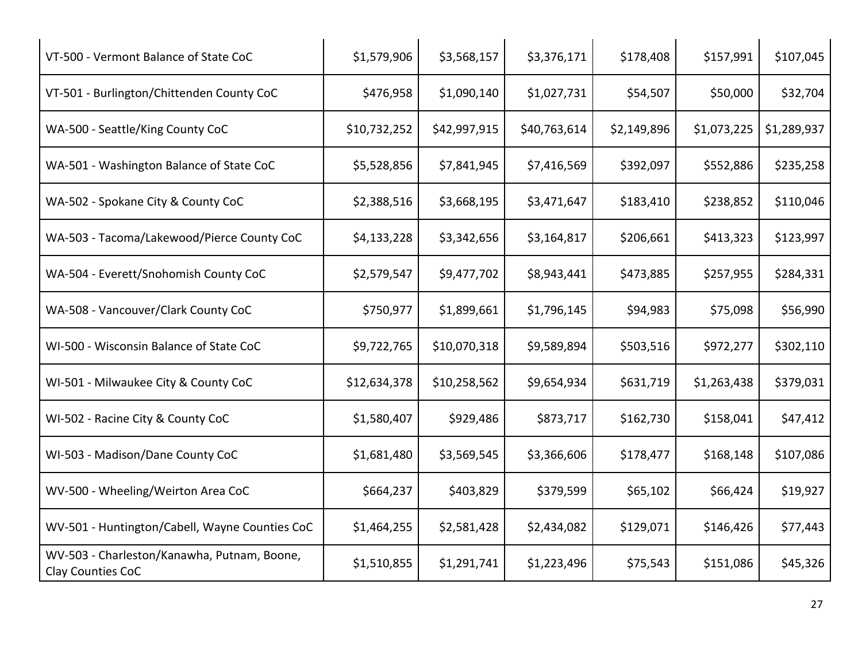| VT-500 - Vermont Balance of State CoC                            | \$1,579,906  | \$3,568,157  | \$3,376,171  | \$178,408   | \$157,991   | \$107,045   |
|------------------------------------------------------------------|--------------|--------------|--------------|-------------|-------------|-------------|
| VT-501 - Burlington/Chittenden County CoC                        | \$476,958    | \$1,090,140  | \$1,027,731  | \$54,507    | \$50,000    | \$32,704    |
| WA-500 - Seattle/King County CoC                                 | \$10,732,252 | \$42,997,915 | \$40,763,614 | \$2,149,896 | \$1,073,225 | \$1,289,937 |
| WA-501 - Washington Balance of State CoC                         | \$5,528,856  | \$7,841,945  | \$7,416,569  | \$392,097   | \$552,886   | \$235,258   |
| WA-502 - Spokane City & County CoC                               | \$2,388,516  | \$3,668,195  | \$3,471,647  | \$183,410   | \$238,852   | \$110,046   |
| WA-503 - Tacoma/Lakewood/Pierce County CoC                       | \$4,133,228  | \$3,342,656  | \$3,164,817  | \$206,661   | \$413,323   | \$123,997   |
| WA-504 - Everett/Snohomish County CoC                            | \$2,579,547  | \$9,477,702  | \$8,943,441  | \$473,885   | \$257,955   | \$284,331   |
| WA-508 - Vancouver/Clark County CoC                              | \$750,977    | \$1,899,661  | \$1,796,145  | \$94,983    | \$75,098    | \$56,990    |
| WI-500 - Wisconsin Balance of State CoC                          | \$9,722,765  | \$10,070,318 | \$9,589,894  | \$503,516   | \$972,277   | \$302,110   |
| WI-501 - Milwaukee City & County CoC                             | \$12,634,378 | \$10,258,562 | \$9,654,934  | \$631,719   | \$1,263,438 | \$379,031   |
| WI-502 - Racine City & County CoC                                | \$1,580,407  | \$929,486    | \$873,717    | \$162,730   | \$158,041   | \$47,412    |
| WI-503 - Madison/Dane County CoC                                 | \$1,681,480  | \$3,569,545  | \$3,366,606  | \$178,477   | \$168,148   | \$107,086   |
| WV-500 - Wheeling/Weirton Area CoC                               | \$664,237    | \$403,829    | \$379,599    | \$65,102    | \$66,424    | \$19,927    |
| WV-501 - Huntington/Cabell, Wayne Counties CoC                   | \$1,464,255  | \$2,581,428  | \$2,434,082  | \$129,071   | \$146,426   | \$77,443    |
| WV-503 - Charleston/Kanawha, Putnam, Boone,<br>Clay Counties CoC | \$1,510,855  | \$1,291,741  | \$1,223,496  | \$75,543    | \$151,086   | \$45,326    |